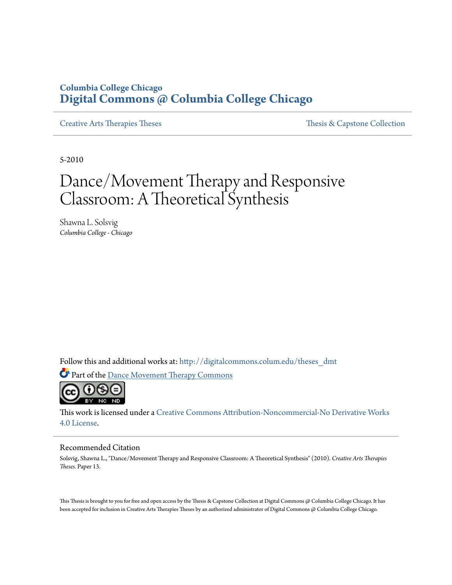# **Columbia College Chicago [Digital Commons @ Columbia College Chicago](http://digitalcommons.colum.edu?utm_source=digitalcommons.colum.edu%2Ftheses_dmt%2F13&utm_medium=PDF&utm_campaign=PDFCoverPages)**

[Creative Arts Therapies Theses](http://digitalcommons.colum.edu/theses_dmt?utm_source=digitalcommons.colum.edu%2Ftheses_dmt%2F13&utm_medium=PDF&utm_campaign=PDFCoverPages) Theses Theses [Thesis & Capstone Collection](http://digitalcommons.colum.edu/thesiscoll?utm_source=digitalcommons.colum.edu%2Ftheses_dmt%2F13&utm_medium=PDF&utm_campaign=PDFCoverPages)

5-2010

# Dance/Movement Therapy and Responsive Classroom: A Theoretical Synthesis

Shawna L. Solsvig *Columbia College - Chicago*

Follow this and additional works at: [http://digitalcommons.colum.edu/theses\\_dmt](http://digitalcommons.colum.edu/theses_dmt?utm_source=digitalcommons.colum.edu%2Ftheses_dmt%2F13&utm_medium=PDF&utm_campaign=PDFCoverPages)

Part of the [Dance Movement Therapy Commons](http://network.bepress.com/hgg/discipline/1150?utm_source=digitalcommons.colum.edu%2Ftheses_dmt%2F13&utm_medium=PDF&utm_campaign=PDFCoverPages)



This work is licensed under a [Creative Commons Attribution-Noncommercial-No Derivative Works](http://creativecommons.org/licenses/by-nc-nd/4.0/) [4.0 License.](http://creativecommons.org/licenses/by-nc-nd/4.0/)

#### Recommended Citation

Solsvig, Shawna L., "Dance/Movement Therapy and Responsive Classroom: A Theoretical Synthesis" (2010). *Creative Arts Therapies Theses.* Paper 13.

This Thesis is brought to you for free and open access by the Thesis & Capstone Collection at Digital Commons @ Columbia College Chicago. It has been accepted for inclusion in Creative Arts Therapies Theses by an authorized administrator of Digital Commons @ Columbia College Chicago.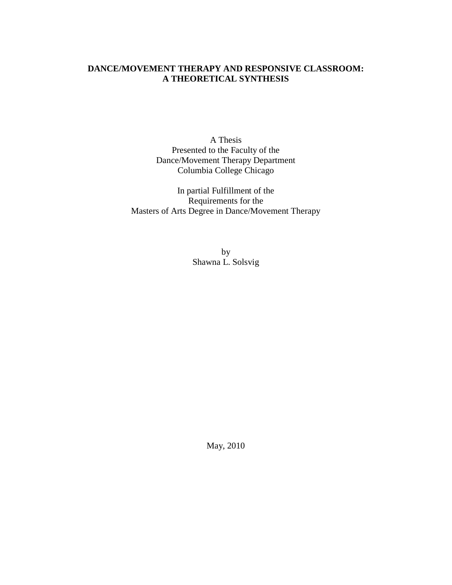# **DANCE/MOVEMENT THERAPY AND RESPONSIVE CLASSROOM: A THEORETICAL SYNTHESIS**

A Thesis Presented to the Faculty of the Dance/Movement Therapy Department Columbia College Chicago

In partial Fulfillment of the Requirements for the Masters of Arts Degree in Dance/Movement Therapy

> by Shawna L. Solsvig

> > May, 2010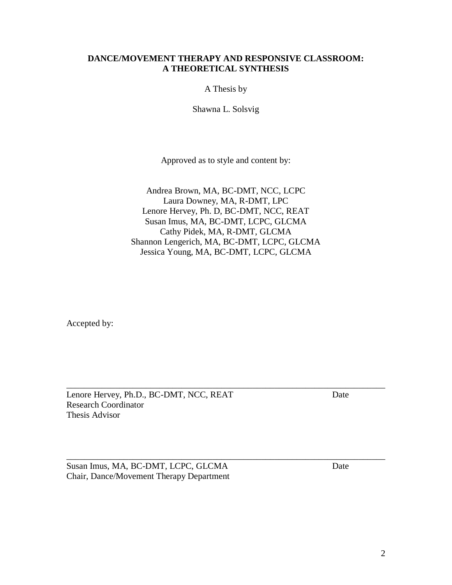# **DANCE/MOVEMENT THERAPY AND RESPONSIVE CLASSROOM: A THEORETICAL SYNTHESIS**

A Thesis by

Shawna L. Solsvig

Approved as to style and content by:

Andrea Brown, MA, BC-DMT, NCC, LCPC Laura Downey, MA, R-DMT, LPC Lenore Hervey, Ph. D, BC-DMT, NCC, REAT Susan Imus, MA, BC-DMT, LCPC, GLCMA Cathy Pidek, MA, R-DMT, GLCMA Shannon Lengerich, MA, BC-DMT, LCPC, GLCMA Jessica Young, MA, BC-DMT, LCPC, GLCMA

\_\_\_\_\_\_\_\_\_\_\_\_\_\_\_\_\_\_\_\_\_\_\_\_\_\_\_\_\_\_\_\_\_\_\_\_\_\_\_\_\_\_\_\_\_\_\_\_\_\_\_\_\_\_\_\_\_\_\_\_\_\_\_\_\_\_\_\_\_\_\_\_

\_\_\_\_\_\_\_\_\_\_\_\_\_\_\_\_\_\_\_\_\_\_\_\_\_\_\_\_\_\_\_\_\_\_\_\_\_\_\_\_\_\_\_\_\_\_\_\_\_\_\_\_\_\_\_\_\_\_\_\_\_\_\_\_\_\_\_\_\_\_\_\_

Accepted by:

Lenore Hervey, Ph.D., BC-DMT, NCC, REAT Date Research Coordinator Thesis Advisor

Susan Imus, MA, BC-DMT, LCPC, GLCMA Date Chair, Dance/Movement Therapy Department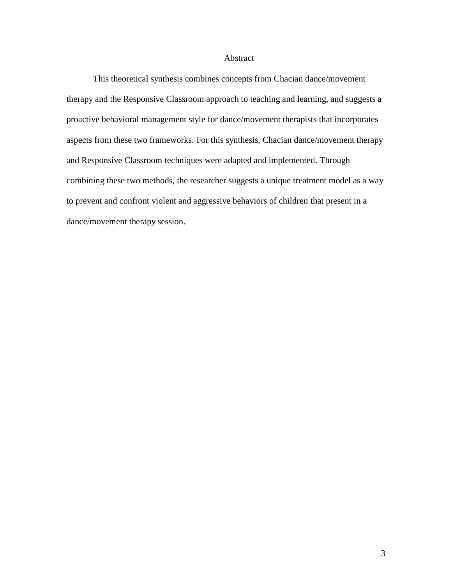# Abstract

This theoretical synthesis combines concepts from Chacian dance/movement therapy and the Responsive Classroom approach to teaching and learning, and suggests a proactive behavioral management style for dance/movement therapists that incorporates aspects from these two frameworks. For this synthesis, Chacian dance/movement therapy and Responsive Classroom techniques were adapted and implemented. Through combining these two methods, the researcher suggests a unique treatment model as a way to prevent and confront violent and aggressive behaviors of children that present in a dance/movement therapy session.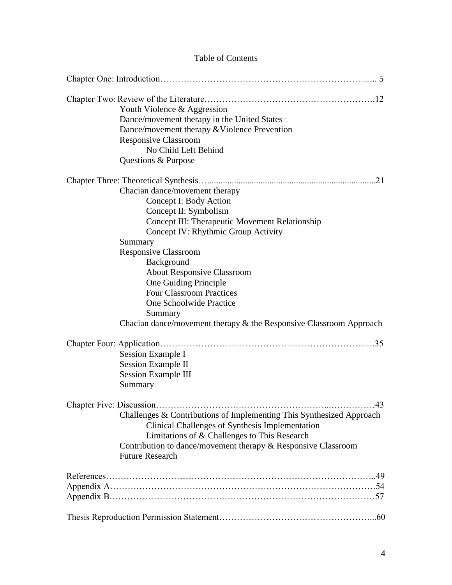| <b>Table of Contents</b> |                                                                                                                                                                                                                                                                                                                                                                                                                                                           |  |
|--------------------------|-----------------------------------------------------------------------------------------------------------------------------------------------------------------------------------------------------------------------------------------------------------------------------------------------------------------------------------------------------------------------------------------------------------------------------------------------------------|--|
|                          |                                                                                                                                                                                                                                                                                                                                                                                                                                                           |  |
|                          | Youth Violence & Aggression<br>Dance/movement therapy in the United States<br>Dance/movement therapy & Violence Prevention<br><b>Responsive Classroom</b><br>No Child Left Behind<br>Questions & Purpose                                                                                                                                                                                                                                                  |  |
|                          | .21<br>Chacian dance/movement therapy<br>Concept I: Body Action<br>Concept II: Symbolism<br>Concept III: Therapeutic Movement Relationship<br>Concept IV: Rhythmic Group Activity<br>Summary<br><b>Responsive Classroom</b><br>Background<br><b>About Responsive Classroom</b><br>One Guiding Principle<br><b>Four Classroom Practices</b><br>One Schoolwide Practice<br>Summary<br>Chacian dance/movement therapy $\&$ the Responsive Classroom Approach |  |
|                          | <b>Session Example I</b><br><b>Session Example II</b><br><b>Session Example III</b><br>Summary                                                                                                                                                                                                                                                                                                                                                            |  |
|                          | 43<br>Challenges & Contributions of Implementing This Synthesized Approach<br>Clinical Challenges of Synthesis Implementation<br>Limitations of & Challenges to This Research<br>Contribution to dance/movement therapy & Responsive Classroom<br><b>Future Research</b>                                                                                                                                                                                  |  |
|                          |                                                                                                                                                                                                                                                                                                                                                                                                                                                           |  |
|                          |                                                                                                                                                                                                                                                                                                                                                                                                                                                           |  |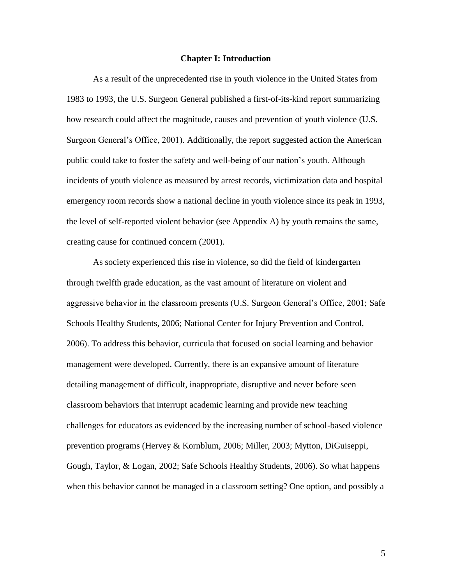# **Chapter I: Introduction**

As a result of the unprecedented rise in youth violence in the United States from 1983 to 1993, the U.S. Surgeon General published a first-of-its-kind report summarizing how research could affect the magnitude, causes and prevention of youth violence (U.S. Surgeon General"s Office, 2001). Additionally, the report suggested action the American public could take to foster the safety and well-being of our nation"s youth. Although incidents of youth violence as measured by arrest records, victimization data and hospital emergency room records show a national decline in youth violence since its peak in 1993, the level of self-reported violent behavior (see Appendix A) by youth remains the same, creating cause for continued concern (2001).

As society experienced this rise in violence, so did the field of kindergarten through twelfth grade education, as the vast amount of literature on violent and aggressive behavior in the classroom presents (U.S. Surgeon General"s Office, 2001; Safe Schools Healthy Students, 2006; National Center for Injury Prevention and Control, 2006). To address this behavior, curricula that focused on social learning and behavior management were developed. Currently, there is an expansive amount of literature detailing management of difficult, inappropriate, disruptive and never before seen classroom behaviors that interrupt academic learning and provide new teaching challenges for educators as evidenced by the increasing number of school-based violence prevention programs (Hervey & Kornblum, 2006; Miller, 2003; Mytton, DiGuiseppi, Gough, Taylor, & Logan, 2002; Safe Schools Healthy Students, 2006). So what happens when this behavior cannot be managed in a classroom setting? One option, and possibly a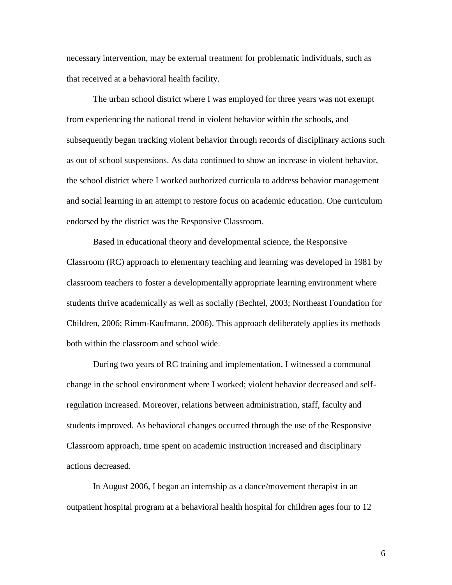necessary intervention, may be external treatment for problematic individuals, such as that received at a behavioral health facility.

The urban school district where I was employed for three years was not exempt from experiencing the national trend in violent behavior within the schools, and subsequently began tracking violent behavior through records of disciplinary actions such as out of school suspensions. As data continued to show an increase in violent behavior, the school district where I worked authorized curricula to address behavior management and social learning in an attempt to restore focus on academic education. One curriculum endorsed by the district was the Responsive Classroom.

Based in educational theory and developmental science, the Responsive Classroom (RC) approach to elementary teaching and learning was developed in 1981 by classroom teachers to foster a developmentally appropriate learning environment where students thrive academically as well as socially (Bechtel, 2003; Northeast Foundation for Children, 2006; Rimm-Kaufmann, 2006). This approach deliberately applies its methods both within the classroom and school wide.

During two years of RC training and implementation, I witnessed a communal change in the school environment where I worked; violent behavior decreased and selfregulation increased. Moreover, relations between administration, staff, faculty and students improved. As behavioral changes occurred through the use of the Responsive Classroom approach, time spent on academic instruction increased and disciplinary actions decreased.

In August 2006, I began an internship as a dance/movement therapist in an outpatient hospital program at a behavioral health hospital for children ages four to 12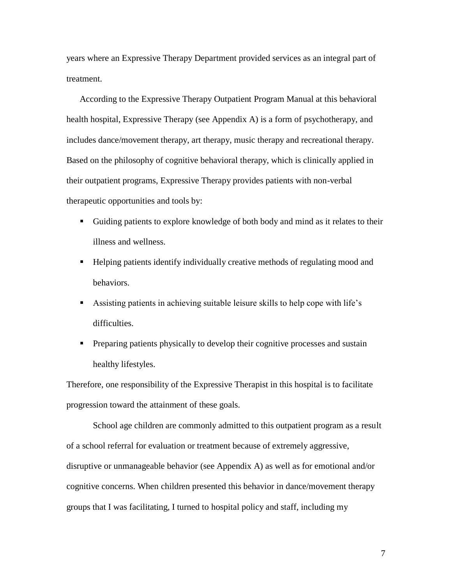years where an Expressive Therapy Department provided services as an integral part of treatment.

According to the Expressive Therapy Outpatient Program Manual at this behavioral health hospital, Expressive Therapy (see Appendix A) is a form of psychotherapy, and includes dance/movement therapy, art therapy, music therapy and recreational therapy. Based on the philosophy of cognitive behavioral therapy, which is clinically applied in their outpatient programs, Expressive Therapy provides patients with non-verbal therapeutic opportunities and tools by:

- Guiding patients to explore knowledge of both body and mind as it relates to their illness and wellness.
- Helping patients identify individually creative methods of regulating mood and behaviors.
- Assisting patients in achieving suitable leisure skills to help cope with life"s difficulties.
- **Preparing patients physically to develop their cognitive processes and sustain** healthy lifestyles.

Therefore, one responsibility of the Expressive Therapist in this hospital is to facilitate progression toward the attainment of these goals.

School age children are commonly admitted to this outpatient program as a result of a school referral for evaluation or treatment because of extremely aggressive, disruptive or unmanageable behavior (see Appendix A) as well as for emotional and/or cognitive concerns. When children presented this behavior in dance/movement therapy groups that I was facilitating, I turned to hospital policy and staff, including my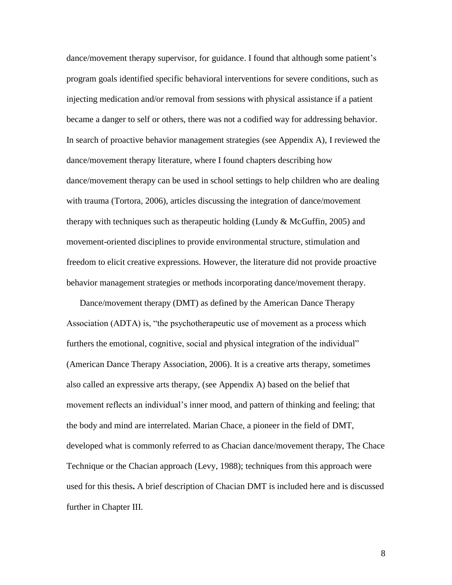dance/movement therapy supervisor, for guidance. I found that although some patient"s program goals identified specific behavioral interventions for severe conditions, such as injecting medication and/or removal from sessions with physical assistance if a patient became a danger to self or others, there was not a codified way for addressing behavior. In search of proactive behavior management strategies (see Appendix A), I reviewed the dance/movement therapy literature, where I found chapters describing how dance/movement therapy can be used in school settings to help children who are dealing with trauma (Tortora, 2006), articles discussing the integration of dance/movement therapy with techniques such as therapeutic holding (Lundy & McGuffin, 2005) and movement-oriented disciplines to provide environmental structure, stimulation and freedom to elicit creative expressions. However, the literature did not provide proactive behavior management strategies or methods incorporating dance/movement therapy.

Dance/movement therapy (DMT) as defined by the American Dance Therapy Association (ADTA) is, "the psychotherapeutic use of movement as a process which furthers the emotional, cognitive, social and physical integration of the individual" (American Dance Therapy Association, 2006). It is a creative arts therapy, sometimes also called an expressive arts therapy, (see Appendix A) based on the belief that movement reflects an individual"s inner mood, and pattern of thinking and feeling; that the body and mind are interrelated. Marian Chace, a pioneer in the field of DMT, developed what is commonly referred to as Chacian dance/movement therapy, The Chace Technique or the Chacian approach (Levy, 1988); techniques from this approach were used for this thesis**.** A brief description of Chacian DMT is included here and is discussed further in Chapter III.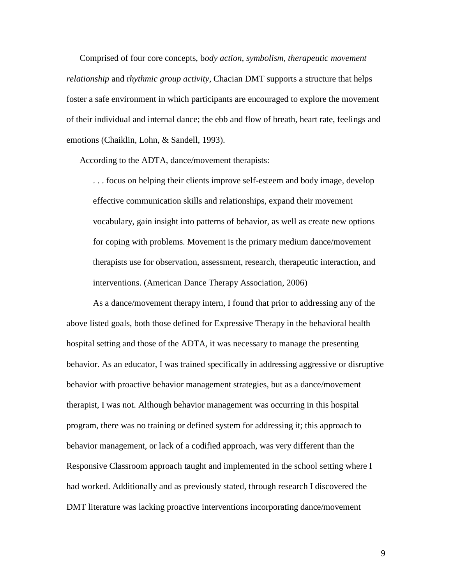Comprised of four core concepts, b*ody action, symbolism, therapeutic movement relationship* and r*hythmic group activity*, Chacian DMT supports a structure that helps foster a safe environment in which participants are encouraged to explore the movement of their individual and internal dance; the ebb and flow of breath, heart rate, feelings and emotions (Chaiklin, Lohn, & Sandell, 1993).

According to the ADTA, dance/movement therapists:

. . . focus on helping their clients improve self-esteem and body image, develop effective communication skills and relationships, expand their movement vocabulary, gain insight into patterns of behavior, as well as create new options for coping with problems. Movement is the primary medium dance/movement therapists use for observation, assessment, research, therapeutic interaction, and interventions. (American Dance Therapy Association, 2006)

As a dance/movement therapy intern, I found that prior to addressing any of the above listed goals, both those defined for Expressive Therapy in the behavioral health hospital setting and those of the ADTA, it was necessary to manage the presenting behavior. As an educator, I was trained specifically in addressing aggressive or disruptive behavior with proactive behavior management strategies, but as a dance/movement therapist, I was not. Although behavior management was occurring in this hospital program, there was no training or defined system for addressing it; this approach to behavior management, or lack of a codified approach, was very different than the Responsive Classroom approach taught and implemented in the school setting where I had worked. Additionally and as previously stated, through research I discovered the DMT literature was lacking proactive interventions incorporating dance/movement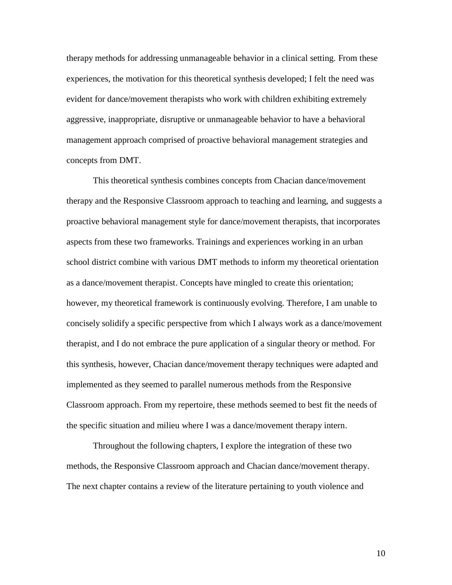therapy methods for addressing unmanageable behavior in a clinical setting. From these experiences, the motivation for this theoretical synthesis developed; I felt the need was evident for dance/movement therapists who work with children exhibiting extremely aggressive, inappropriate, disruptive or unmanageable behavior to have a behavioral management approach comprised of proactive behavioral management strategies and concepts from DMT.

This theoretical synthesis combines concepts from Chacian dance/movement therapy and the Responsive Classroom approach to teaching and learning, and suggests a proactive behavioral management style for dance/movement therapists, that incorporates aspects from these two frameworks. Trainings and experiences working in an urban school district combine with various DMT methods to inform my theoretical orientation as a dance/movement therapist. Concepts have mingled to create this orientation; however, my theoretical framework is continuously evolving. Therefore, I am unable to concisely solidify a specific perspective from which I always work as a dance/movement therapist, and I do not embrace the pure application of a singular theory or method. For this synthesis, however, Chacian dance/movement therapy techniques were adapted and implemented as they seemed to parallel numerous methods from the Responsive Classroom approach. From my repertoire, these methods seemed to best fit the needs of the specific situation and milieu where I was a dance/movement therapy intern.

Throughout the following chapters, I explore the integration of these two methods, the Responsive Classroom approach and Chacian dance/movement therapy. The next chapter contains a review of the literature pertaining to youth violence and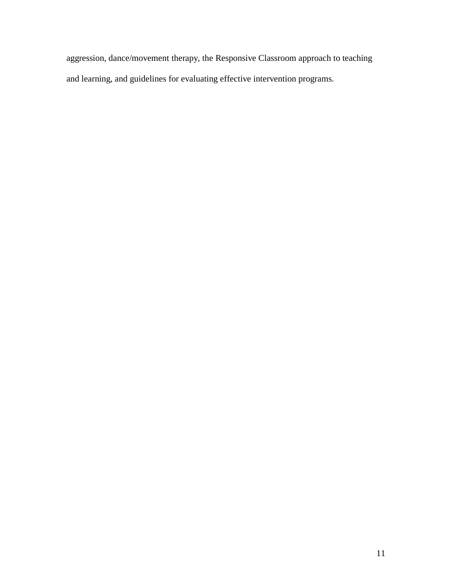aggression, dance/movement therapy, the Responsive Classroom approach to teaching and learning, and guidelines for evaluating effective intervention programs.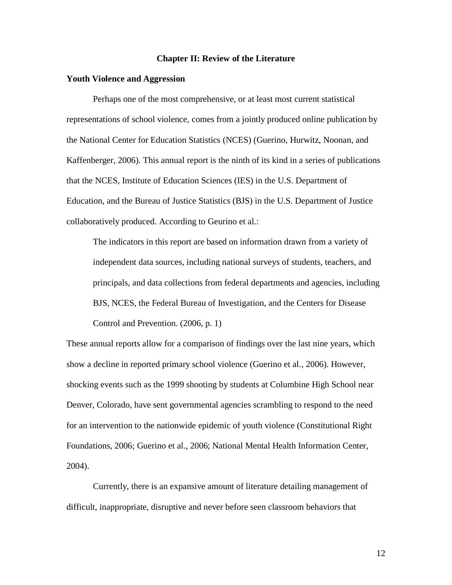#### **Chapter II: Review of the Literature**

# **Youth Violence and Aggression**

Perhaps one of the most comprehensive, or at least most current statistical representations of school violence, comes from a jointly produced online publication by the National Center for Education Statistics (NCES) (Guerino, Hurwitz, Noonan, and Kaffenberger, 2006). This annual report is the ninth of its kind in a series of publications that the NCES, Institute of Education Sciences (IES) in the U.S. Department of Education, and the Bureau of Justice Statistics (BJS) in the U.S. Department of Justice collaboratively produced. According to Geurino et al.:

The indicators in this report are based on information drawn from a variety of independent data sources, including national surveys of students, teachers, and principals, and data collections from federal departments and agencies, including BJS, NCES, the Federal Bureau of Investigation, and the Centers for Disease Control and Prevention. (2006, p. 1)

These annual reports allow for a comparison of findings over the last nine years, which show a decline in reported primary school violence (Guerino et al., 2006). However, shocking events such as the 1999 shooting by students at Columbine High School near Denver, Colorado, have sent governmental agencies scrambling to respond to the need for an intervention to the nationwide epidemic of youth violence (Constitutional Right Foundations, 2006; Guerino et al., 2006; National Mental Health Information Center, 2004).

Currently, there is an expansive amount of literature detailing management of difficult, inappropriate, disruptive and never before seen classroom behaviors that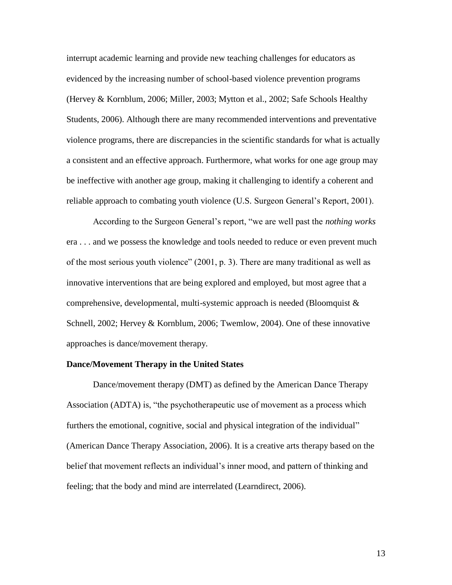interrupt academic learning and provide new teaching challenges for educators as evidenced by the increasing number of school-based violence prevention programs (Hervey & Kornblum, 2006; Miller, 2003; Mytton et al., 2002; Safe Schools Healthy Students, 2006). Although there are many recommended interventions and preventative violence programs, there are discrepancies in the scientific standards for what is actually a consistent and an effective approach. Furthermore, what works for one age group may be ineffective with another age group, making it challenging to identify a coherent and reliable approach to combating youth violence (U.S. Surgeon General"s Report, 2001).

According to the Surgeon General"s report, "we are well past the *nothing works* era . . . and we possess the knowledge and tools needed to reduce or even prevent much of the most serious youth violence" (2001, p. 3). There are many traditional as well as innovative interventions that are being explored and employed, but most agree that a comprehensive, developmental, multi-systemic approach is needed (Bloomquist & Schnell, 2002; Hervey & Kornblum, 2006; Twemlow, 2004). One of these innovative approaches is dance/movement therapy.

# **Dance/Movement Therapy in the United States**

Dance/movement therapy (DMT) as defined by the American Dance Therapy Association (ADTA) is, "the psychotherapeutic use of movement as a process which furthers the emotional, cognitive, social and physical integration of the individual" (American Dance Therapy Association, 2006). It is a creative arts therapy based on the belief that movement reflects an individual"s inner mood, and pattern of thinking and feeling; that the body and mind are interrelated (Learndirect, 2006).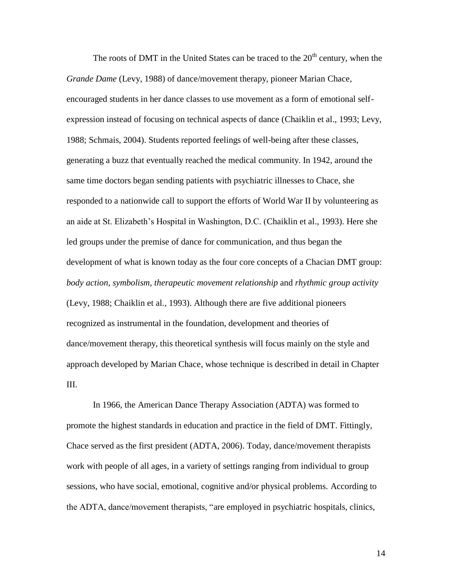The roots of DMT in the United States can be traced to the  $20<sup>th</sup>$  century, when the *Grande Dame* (Levy, 1988) of dance/movement therapy, pioneer Marian Chace, encouraged students in her dance classes to use movement as a form of emotional selfexpression instead of focusing on technical aspects of dance (Chaiklin et al., 1993; Levy, 1988; Schmais, 2004). Students reported feelings of well-being after these classes, generating a buzz that eventually reached the medical community. In 1942, around the same time doctors began sending patients with psychiatric illnesses to Chace, she responded to a nationwide call to support the efforts of World War II by volunteering as an aide at St. Elizabeth"s Hospital in Washington, D.C. (Chaiklin et al., 1993). Here she led groups under the premise of dance for communication, and thus began the development of what is known today as the four core concepts of a Chacian DMT group: *body action, symbolism, therapeutic movement relationship* and *rhythmic group activity* (Levy, 1988; Chaiklin et al., 1993). Although there are five additional pioneers recognized as instrumental in the foundation, development and theories of dance/movement therapy, this theoretical synthesis will focus mainly on the style and approach developed by Marian Chace, whose technique is described in detail in Chapter III.

In 1966, the American Dance Therapy Association (ADTA) was formed to promote the highest standards in education and practice in the field of DMT. Fittingly, Chace served as the first president (ADTA, 2006). Today, dance/movement therapists work with people of all ages, in a variety of settings ranging from individual to group sessions, who have social, emotional, cognitive and/or physical problems. According to the ADTA, dance/movement therapists, "are employed in psychiatric hospitals, clinics,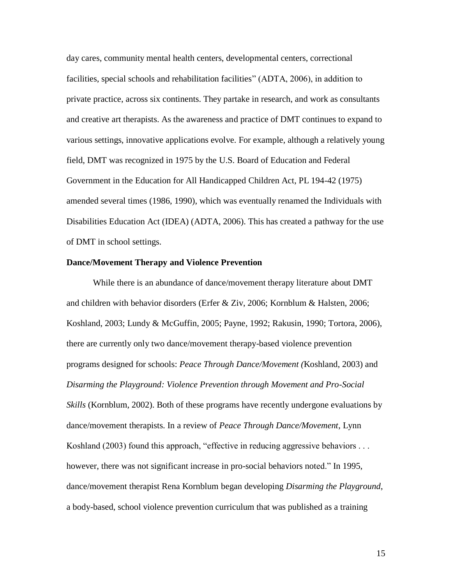day cares, community mental health centers, developmental centers, correctional facilities, special schools and rehabilitation facilities" (ADTA, 2006), in addition to private practice, across six continents. They partake in research, and work as consultants and creative art therapists. As the awareness and practice of DMT continues to expand to various settings, innovative applications evolve. For example, although a relatively young field, DMT was recognized in 1975 by the U.S. Board of Education and Federal Government in the Education for All Handicapped Children Act, PL 194-42 (1975) amended several times (1986, 1990), which was eventually renamed the Individuals with Disabilities Education Act (IDEA) (ADTA, 2006). This has created a pathway for the use of DMT in school settings.

# **Dance/Movement Therapy and Violence Prevention**

While there is an abundance of dance/movement therapy literature about DMT and children with behavior disorders (Erfer & Ziv, 2006; Kornblum & Halsten, 2006; Koshland, 2003; Lundy & McGuffin, 2005; Payne, 1992; Rakusin, 1990; Tortora, 2006), there are currently only two dance/movement therapy-based violence prevention programs designed for schools: *Peace Through Dance/Movement (*Koshland, 2003) and *Disarming the Playground: Violence Prevention through Movement and Pro-Social Skills* (Kornblum, 2002). Both of these programs have recently undergone evaluations by dance/movement therapists. In a review of *Peace Through Dance/Movement*, Lynn Koshland (2003) found this approach, "effective in reducing aggressive behaviors . . . however, there was not significant increase in pro-social behaviors noted." In 1995, dance/movement therapist Rena Kornblum began developing *Disarming the Playground*, a body-based, school violence prevention curriculum that was published as a training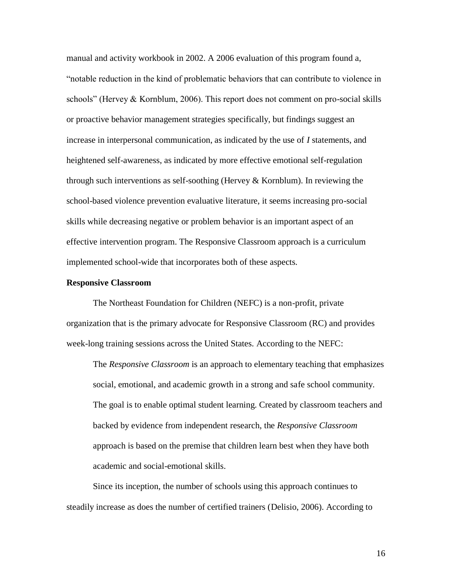manual and activity workbook in 2002. A 2006 evaluation of this program found a, "notable reduction in the kind of problematic behaviors that can contribute to violence in schools" (Hervey  $&$  Kornblum, 2006). This report does not comment on pro-social skills or proactive behavior management strategies specifically, but findings suggest an increase in interpersonal communication, as indicated by the use of *I* statements, and heightened self-awareness, as indicated by more effective emotional self-regulation through such interventions as self-soothing (Hervey  $&$  Kornblum). In reviewing the school-based violence prevention evaluative literature, it seems increasing pro-social skills while decreasing negative or problem behavior is an important aspect of an effective intervention program. The Responsive Classroom approach is a curriculum implemented school-wide that incorporates both of these aspects.

#### **Responsive Classroom**

The Northeast Foundation for Children (NEFC) is a non-profit, private organization that is the primary advocate for Responsive Classroom (RC) and provides week-long training sessions across the United States. According to the NEFC:

The *Responsive Classroom* is an approach to elementary teaching that emphasizes social, emotional, and academic growth in a strong and safe school community. The goal is to enable optimal student learning. Created by classroom teachers and backed by evidence from independent [research,](http://www.responsiveclassroom.org/about/research.html) the *Responsive Classroom* approach is based on the premise that children learn best when they have both academic and social-emotional skills.

Since its inception, the number of schools using this approach continues to steadily increase as does the number of certified trainers (Delisio, 2006). According to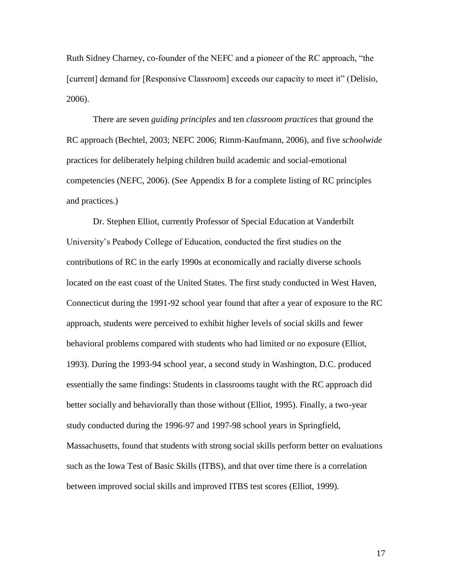Ruth Sidney Charney, co-founder of the NEFC and a pioneer of the RC approach, "the [current] demand for [Responsive Classroom] exceeds our capacity to meet it" (Delisio, 2006).

There are seven *guiding principles* and ten *classroom practices* that ground the RC approach (Bechtel, 2003; NEFC 2006; Rimm-Kaufmann, 2006), and five *schoolwide* practices for deliberately helping children build academic and social-emotional competencies (NEFC, 2006). (See Appendix B for a complete listing of RC principles and practices.)

Dr. Stephen Elliot, currently Professor of Special Education at Vanderbilt University"s Peabody College of Education, conducted the first studies on the contributions of RC in the early 1990s at economically and racially diverse schools located on the east coast of the United States. The first study conducted in West Haven, Connecticut during the 1991-92 school year found that after a year of exposure to the RC approach, students were perceived to exhibit higher levels of social skills and fewer behavioral problems compared with students who had limited or no exposure (Elliot, 1993). During the 1993-94 school year, a second study in Washington, D.C. produced essentially the same findings: Students in classrooms taught with the RC approach did better socially and behaviorally than those without (Elliot, 1995). Finally, a two-year study conducted during the 1996-97 and 1997-98 school years in Springfield, Massachusetts, found that students with strong social skills perform better on evaluations such as the Iowa Test of Basic Skills (ITBS), and that over time there is a correlation between improved social skills and improved ITBS test scores (Elliot, 1999).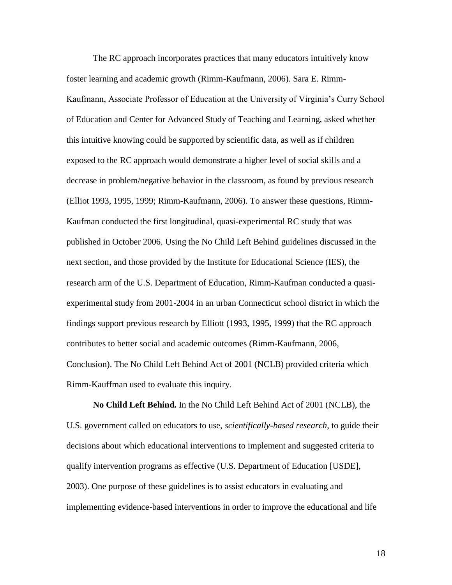The RC approach incorporates practices that many educators intuitively know foster learning and academic growth (Rimm-Kaufmann, 2006). Sara E. Rimm-Kaufmann, Associate Professor of Education at the University of Virginia"s Curry School of Education and Center for Advanced Study of Teaching and Learning, asked whether this intuitive knowing could be supported by scientific data, as well as if children exposed to the RC approach would demonstrate a higher level of social skills and a decrease in problem/negative behavior in the classroom, as found by previous research (Elliot 1993, 1995, 1999; Rimm-Kaufmann, 2006). To answer these questions, Rimm-Kaufman conducted the first longitudinal, quasi-experimental RC study that was published in October 2006. Using the No Child Left Behind guidelines discussed in the next section, and those provided by the Institute for Educational Science (IES), the research arm of the U.S. Department of Education, Rimm-Kaufman conducted a quasiexperimental study from 2001-2004 in an urban Connecticut school district in which the findings support previous research by Elliott (1993, 1995, 1999) that the RC approach contributes to better social and academic outcomes (Rimm-Kaufmann, 2006, Conclusion). The No Child Left Behind Act of 2001 (NCLB) provided criteria which Rimm-Kauffman used to evaluate this inquiry.

**No Child Left Behind.** In the No Child Left Behind Act of 2001 (NCLB), the U.S. government called on educators to use, *scientifically-based research*, to guide their decisions about which educational interventions to implement and suggested criteria to qualify intervention programs as effective (U.S. Department of Education [USDE], 2003). One purpose of these guidelines is to assist educators in evaluating and implementing evidence-based interventions in order to improve the educational and life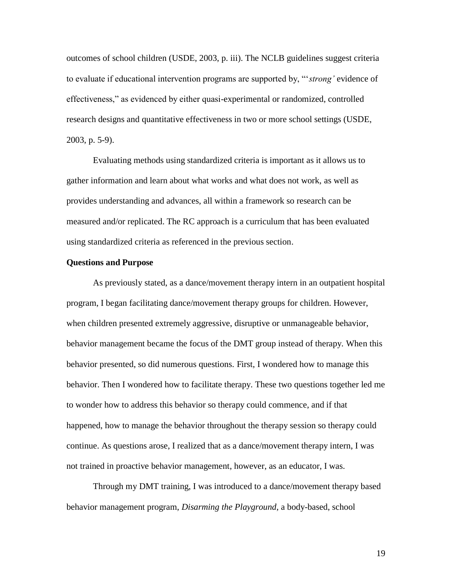outcomes of school children (USDE, 2003, p. iii). The NCLB guidelines suggest criteria to evaluate if educational intervention programs are supported by, ""*strong'* evidence of effectiveness," as evidenced by either quasi-experimental or randomized, controlled research designs and quantitative effectiveness in two or more school settings (USDE, 2003, p. 5-9).

Evaluating methods using standardized criteria is important as it allows us to gather information and learn about what works and what does not work, as well as provides understanding and advances, all within a framework so research can be measured and/or replicated. The RC approach is a curriculum that has been evaluated using standardized criteria as referenced in the previous section.

# **Questions and Purpose**

As previously stated, as a dance/movement therapy intern in an outpatient hospital program, I began facilitating dance/movement therapy groups for children. However, when children presented extremely aggressive, disruptive or unmanageable behavior, behavior management became the focus of the DMT group instead of therapy. When this behavior presented, so did numerous questions. First, I wondered how to manage this behavior. Then I wondered how to facilitate therapy. These two questions together led me to wonder how to address this behavior so therapy could commence, and if that happened, how to manage the behavior throughout the therapy session so therapy could continue. As questions arose, I realized that as a dance/movement therapy intern, I was not trained in proactive behavior management, however, as an educator, I was.

Through my DMT training, I was introduced to a dance/movement therapy based behavior management program, *Disarming the Playground*, a body-based, school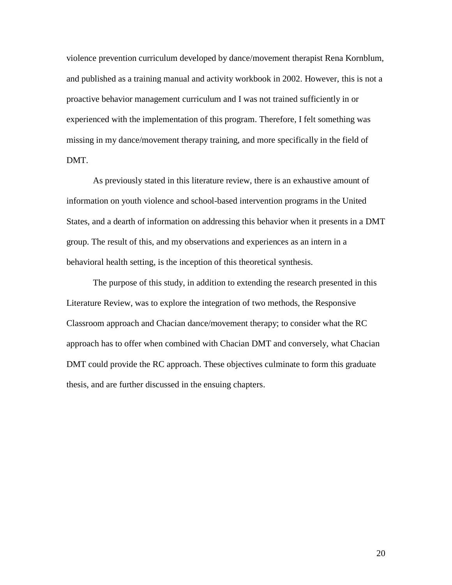violence prevention curriculum developed by dance/movement therapist Rena Kornblum, and published as a training manual and activity workbook in 2002. However, this is not a proactive behavior management curriculum and I was not trained sufficiently in or experienced with the implementation of this program. Therefore, I felt something was missing in my dance/movement therapy training, and more specifically in the field of DMT.

As previously stated in this literature review, there is an exhaustive amount of information on youth violence and school-based intervention programs in the United States, and a dearth of information on addressing this behavior when it presents in a DMT group. The result of this, and my observations and experiences as an intern in a behavioral health setting, is the inception of this theoretical synthesis.

The purpose of this study, in addition to extending the research presented in this Literature Review, was to explore the integration of two methods, the Responsive Classroom approach and Chacian dance/movement therapy; to consider what the RC approach has to offer when combined with Chacian DMT and conversely, what Chacian DMT could provide the RC approach. These objectives culminate to form this graduate thesis, and are further discussed in the ensuing chapters.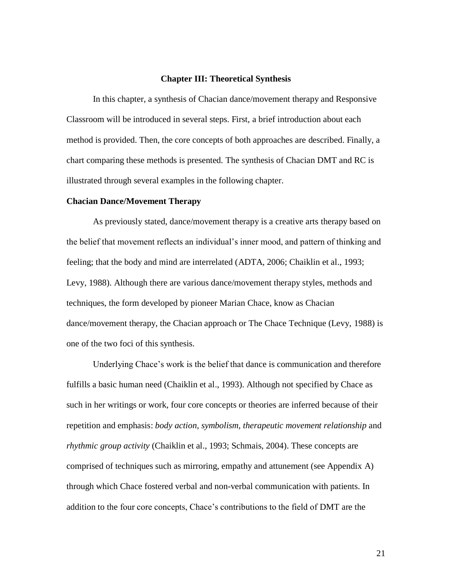# **Chapter III: Theoretical Synthesis**

In this chapter, a synthesis of Chacian dance/movement therapy and Responsive Classroom will be introduced in several steps. First, a brief introduction about each method is provided. Then, the core concepts of both approaches are described. Finally, a chart comparing these methods is presented. The synthesis of Chacian DMT and RC is illustrated through several examples in the following chapter.

# **Chacian Dance/Movement Therapy**

As previously stated, dance/movement therapy is a creative arts therapy based on the belief that movement reflects an individual"s inner mood, and pattern of thinking and feeling; that the body and mind are interrelated (ADTA, 2006; Chaiklin et al., 1993; Levy, 1988). Although there are various dance/movement therapy styles, methods and techniques, the form developed by pioneer Marian Chace, know as Chacian dance/movement therapy, the Chacian approach or The Chace Technique (Levy, 1988) is one of the two foci of this synthesis.

Underlying Chace"s work is the belief that dance is communication and therefore fulfills a basic human need (Chaiklin et al., 1993). Although not specified by Chace as such in her writings or work, four core concepts or theories are inferred because of their repetition and emphasis: *body action, symbolism, therapeutic movement relationship* and *rhythmic group activity* (Chaiklin et al., 1993; Schmais, 2004). These concepts are comprised of techniques such as mirroring, empathy and attunement (see Appendix A) through which Chace fostered verbal and non-verbal communication with patients. In addition to the four core concepts, Chace"s contributions to the field of DMT are the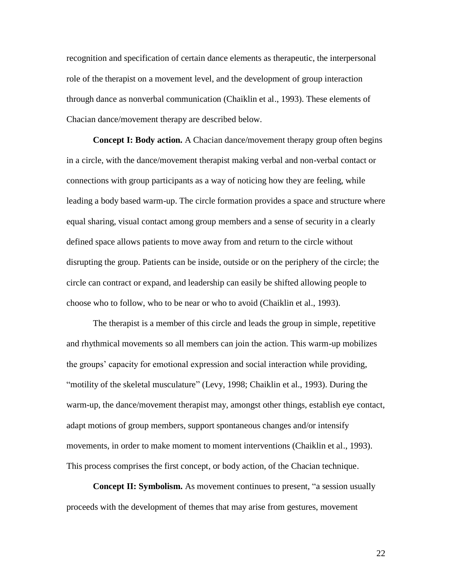recognition and specification of certain dance elements as therapeutic, the interpersonal role of the therapist on a movement level, and the development of group interaction through dance as nonverbal communication (Chaiklin et al., 1993). These elements of Chacian dance/movement therapy are described below.

**Concept I: Body action.** A Chacian dance/movement therapy group often begins in a circle, with the dance/movement therapist making verbal and non-verbal contact or connections with group participants as a way of noticing how they are feeling, while leading a body based warm-up. The circle formation provides a space and structure where equal sharing, visual contact among group members and a sense of security in a clearly defined space allows patients to move away from and return to the circle without disrupting the group. Patients can be inside, outside or on the periphery of the circle; the circle can contract or expand, and leadership can easily be shifted allowing people to choose who to follow, who to be near or who to avoid (Chaiklin et al., 1993).

The therapist is a member of this circle and leads the group in simple, repetitive and rhythmical movements so all members can join the action. This warm-up mobilizes the groups" capacity for emotional expression and social interaction while providing, "motility of the skeletal musculature" (Levy, 1998; Chaiklin et al., 1993). During the warm-up, the dance/movement therapist may, amongst other things, establish eye contact, adapt motions of group members, support spontaneous changes and/or intensify movements, in order to make moment to moment interventions (Chaiklin et al., 1993). This process comprises the first concept, or body action, of the Chacian technique.

**Concept II: Symbolism.** As movement continues to present, "a session usually proceeds with the development of themes that may arise from gestures, movement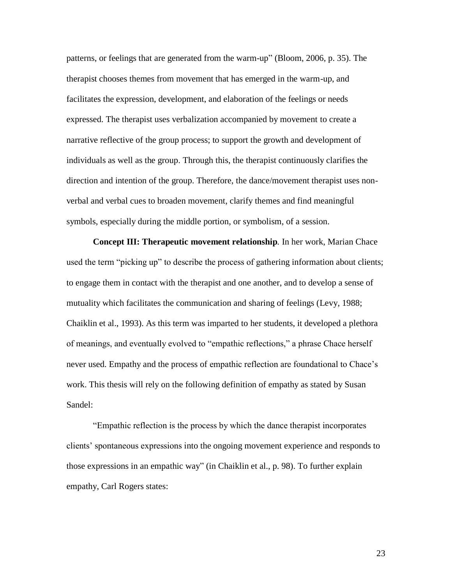patterns, or feelings that are generated from the warm-up" (Bloom, 2006, p. 35). The therapist chooses themes from movement that has emerged in the warm-up, and facilitates the expression, development, and elaboration of the feelings or needs expressed. The therapist uses verbalization accompanied by movement to create a narrative reflective of the group process; to support the growth and development of individuals as well as the group. Through this, the therapist continuously clarifies the direction and intention of the group. Therefore, the dance/movement therapist uses nonverbal and verbal cues to broaden movement, clarify themes and find meaningful symbols, especially during the middle portion, or symbolism, of a session.

**Concept III: Therapeutic movement relationship***.* In her work, Marian Chace used the term "picking up" to describe the process of gathering information about clients; to engage them in contact with the therapist and one another, and to develop a sense of mutuality which facilitates the communication and sharing of feelings (Levy, 1988; Chaiklin et al., 1993). As this term was imparted to her students, it developed a plethora of meanings, and eventually evolved to "empathic reflections," a phrase Chace herself never used. Empathy and the process of empathic reflection are foundational to Chace"s work. This thesis will rely on the following definition of empathy as stated by Susan Sandel:

"Empathic reflection is the process by which the dance therapist incorporates clients" spontaneous expressions into the ongoing movement experience and responds to those expressions in an empathic way" (in Chaiklin et al., p. 98). To further explain empathy, Carl Rogers states: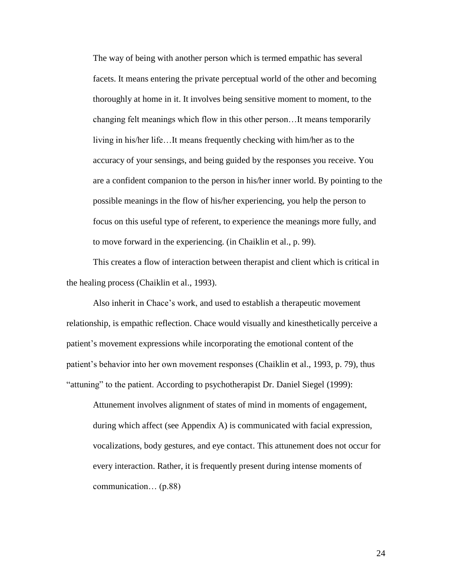The way of being with another person which is termed empathic has several facets. It means entering the private perceptual world of the other and becoming thoroughly at home in it. It involves being sensitive moment to moment, to the changing felt meanings which flow in this other person…It means temporarily living in his/her life…It means frequently checking with him/her as to the accuracy of your sensings, and being guided by the responses you receive. You are a confident companion to the person in his/her inner world. By pointing to the possible meanings in the flow of his/her experiencing, you help the person to focus on this useful type of referent, to experience the meanings more fully, and to move forward in the experiencing. (in Chaiklin et al., p. 99).

This creates a flow of interaction between therapist and client which is critical in the healing process (Chaiklin et al., 1993).

Also inherit in Chace"s work, and used to establish a therapeutic movement relationship, is empathic reflection. Chace would visually and kinesthetically perceive a patient's movement expressions while incorporating the emotional content of the patient"s behavior into her own movement responses (Chaiklin et al., 1993, p. 79), thus "attuning" to the patient. According to psychotherapist Dr. Daniel Siegel (1999):

Attunement involves alignment of states of mind in moments of engagement, during which affect (see Appendix A) is communicated with facial expression, vocalizations, body gestures, and eye contact. This attunement does not occur for every interaction. Rather, it is frequently present during intense moments of communication… (p.88)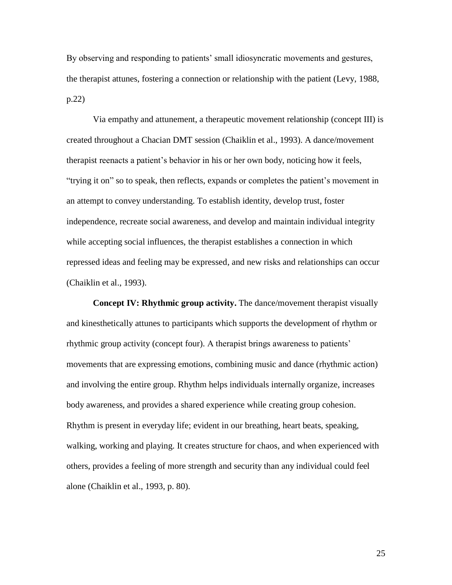By observing and responding to patients" small idiosyncratic movements and gestures, the therapist attunes, fostering a connection or relationship with the patient (Levy, 1988, p.22)

Via empathy and attunement, a therapeutic movement relationship (concept III) is created throughout a Chacian DMT session (Chaiklin et al., 1993). A dance/movement therapist reenacts a patient"s behavior in his or her own body, noticing how it feels, "trying it on" so to speak, then reflects, expands or completes the patient"s movement in an attempt to convey understanding. To establish identity, develop trust, foster independence, recreate social awareness, and develop and maintain individual integrity while accepting social influences, the therapist establishes a connection in which repressed ideas and feeling may be expressed, and new risks and relationships can occur (Chaiklin et al., 1993).

**Concept IV: Rhythmic group activity.** The dance/movement therapist visually and kinesthetically attunes to participants which supports the development of rhythm or rhythmic group activity (concept four). A therapist brings awareness to patients" movements that are expressing emotions, combining music and dance (rhythmic action) and involving the entire group. Rhythm helps individuals internally organize, increases body awareness, and provides a shared experience while creating group cohesion. Rhythm is present in everyday life; evident in our breathing, heart beats, speaking, walking, working and playing. It creates structure for chaos, and when experienced with others, provides a feeling of more strength and security than any individual could feel alone (Chaiklin et al., 1993, p. 80).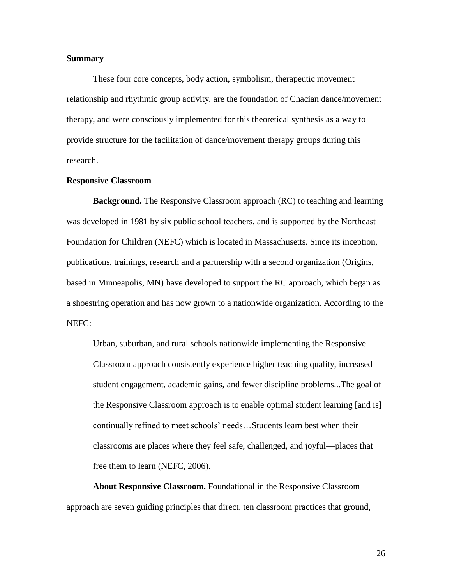# **Summary**

These four core concepts, body action, symbolism, therapeutic movement relationship and rhythmic group activity, are the foundation of Chacian dance/movement therapy, and were consciously implemented for this theoretical synthesis as a way to provide structure for the facilitation of dance/movement therapy groups during this research.

# **Responsive Classroom**

**Background.** The Responsive Classroom approach (RC) to teaching and learning was developed in 1981 by six public school teachers, and is supported by the Northeast Foundation for Children (NEFC) which is located in Massachusetts. Since its inception, publications, trainings, research and a partnership with a second organization (Origins, based in Minneapolis, MN) have developed to support the RC approach, which began as a shoestring operation and has now grown to a nationwide organization. According to the NEFC:

Urban, suburban, and rural schools nationwide implementing the Responsive Classroom approach consistently experience higher teaching quality, increased student engagement, academic gains, and fewer discipline problems...The goal of the Responsive Classroom approach is to enable optimal student learning [and is] continually refined to meet schools" needs…Students learn best when their classrooms are places where they feel safe, challenged, and joyful—places that free them to learn (NEFC, 2006).

**About Responsive Classroom.** Foundational in the Responsive Classroom approach are seven guiding principles that direct, ten classroom practices that ground,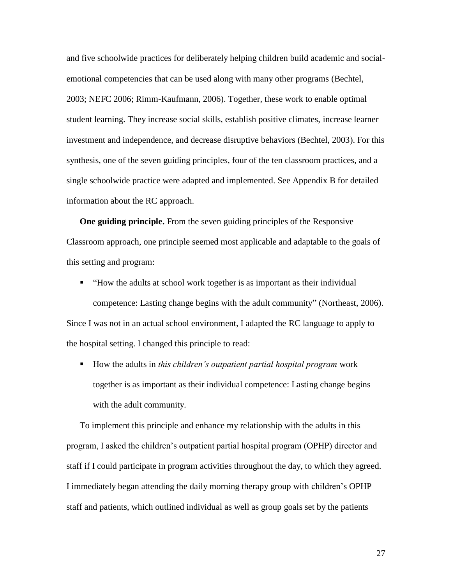and five schoolwide practices for deliberately helping children build academic and socialemotional competencies that can be used along with many other programs (Bechtel, 2003; NEFC 2006; Rimm-Kaufmann, 2006). Together, these work to enable optimal student learning. They increase social skills, establish positive climates, increase learner investment and independence, and decrease disruptive behaviors (Bechtel, 2003). For this synthesis, one of the seven guiding principles, four of the ten classroom practices, and a single schoolwide practice were adapted and implemented. See Appendix B for detailed information about the RC approach.

**One guiding principle.** From the seven guiding principles of the Responsive Classroom approach, one principle seemed most applicable and adaptable to the goals of this setting and program:

- "How the adults at school work together is as important as their individual competence: Lasting change begins with the adult community" (Northeast, 2006). Since I was not in an actual school environment, I adapted the RC language to apply to the hospital setting. I changed this principle to read:
	- How the adults in *this children's outpatient partial hospital program* work together is as important as their individual competence: Lasting change begins with the adult community.

To implement this principle and enhance my relationship with the adults in this program, I asked the children"s outpatient partial hospital program (OPHP) director and staff if I could participate in program activities throughout the day, to which they agreed. I immediately began attending the daily morning therapy group with children"s OPHP staff and patients, which outlined individual as well as group goals set by the patients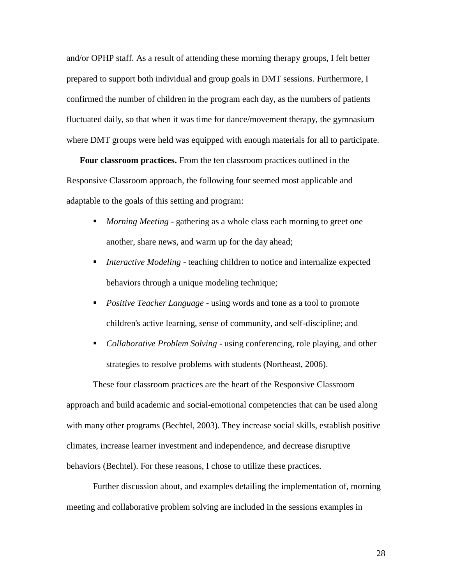and/or OPHP staff. As a result of attending these morning therapy groups, I felt better prepared to support both individual and group goals in DMT sessions. Furthermore, I confirmed the number of children in the program each day, as the numbers of patients fluctuated daily, so that when it was time for dance/movement therapy, the gymnasium where DMT groups were held was equipped with enough materials for all to participate.

**Four classroom practices.** From the ten classroom practices outlined in the Responsive Classroom approach, the following four seemed most applicable and adaptable to the goals of this setting and program:

- *Morning Meeting* gathering as a whole class each morning to greet one another, share news, and warm up for the day ahead;
- *Interactive Modeling* teaching children to notice and internalize expected behaviors through a unique modeling technique;
- *Positive Teacher Language* using words and tone as a tool to promote children's active learning, sense of community, and self-discipline; and
- *Collaborative Problem Solving* using conferencing, role playing, and other strategies to resolve problems with students (Northeast, 2006).

These four classroom practices are the heart of the Responsive Classroom approach and build academic and social-emotional competencies that can be used along with many other programs (Bechtel, 2003). They increase social skills, establish positive climates, increase learner investment and independence, and decrease disruptive behaviors (Bechtel). For these reasons, I chose to utilize these practices.

Further discussion about, and examples detailing the implementation of, morning meeting and collaborative problem solving are included in the sessions examples in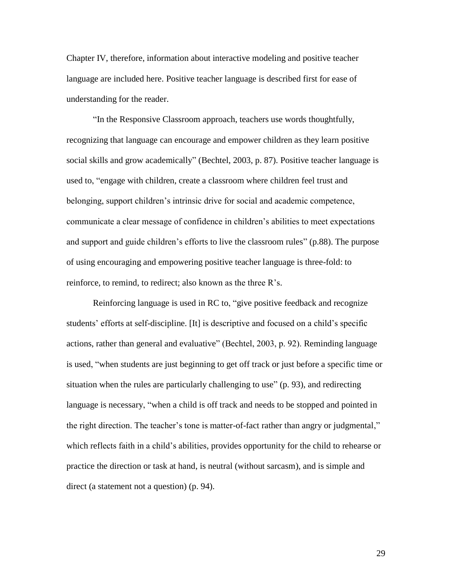Chapter IV, therefore, information about interactive modeling and positive teacher language are included here. Positive teacher language is described first for ease of understanding for the reader.

"In the Responsive Classroom approach, teachers use words thoughtfully, recognizing that language can encourage and empower children as they learn positive social skills and grow academically" (Bechtel, 2003, p. 87). Positive teacher language is used to, "engage with children, create a classroom where children feel trust and belonging, support children's intrinsic drive for social and academic competence, communicate a clear message of confidence in children"s abilities to meet expectations and support and guide children"s efforts to live the classroom rules" (p.88). The purpose of using encouraging and empowering positive teacher language is three-fold: to reinforce, to remind, to redirect; also known as the three R"s.

Reinforcing language is used in RC to, "give positive feedback and recognize students' efforts at self-discipline. [It] is descriptive and focused on a child's specific actions, rather than general and evaluative" (Bechtel, 2003, p. 92). Reminding language is used, "when students are just beginning to get off track or just before a specific time or situation when the rules are particularly challenging to use" (p. 93), and redirecting language is necessary, "when a child is off track and needs to be stopped and pointed in the right direction. The teacher's tone is matter-of-fact rather than angry or judgmental," which reflects faith in a child's abilities, provides opportunity for the child to rehearse or practice the direction or task at hand, is neutral (without sarcasm), and is simple and direct (a statement not a question) (p. 94).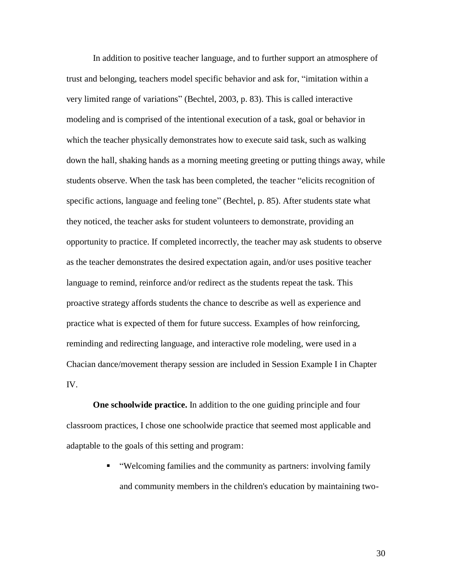In addition to positive teacher language, and to further support an atmosphere of trust and belonging, teachers model specific behavior and ask for, "imitation within a very limited range of variations" (Bechtel, 2003, p. 83). This is called interactive modeling and is comprised of the intentional execution of a task, goal or behavior in which the teacher physically demonstrates how to execute said task, such as walking down the hall, shaking hands as a morning meeting greeting or putting things away, while students observe. When the task has been completed, the teacher "elicits recognition of specific actions, language and feeling tone" (Bechtel, p. 85). After students state what they noticed, the teacher asks for student volunteers to demonstrate, providing an opportunity to practice. If completed incorrectly, the teacher may ask students to observe as the teacher demonstrates the desired expectation again, and/or uses positive teacher language to remind, reinforce and/or redirect as the students repeat the task. This proactive strategy affords students the chance to describe as well as experience and practice what is expected of them for future success. Examples of how reinforcing, reminding and redirecting language, and interactive role modeling, were used in a Chacian dance/movement therapy session are included in Session Example I in Chapter IV.

**One schoolwide practice.** In addition to the one guiding principle and four classroom practices, I chose one schoolwide practice that seemed most applicable and adaptable to the goals of this setting and program:

> "Welcoming families and the community as partners: involving family and community members in the children's education by maintaining two-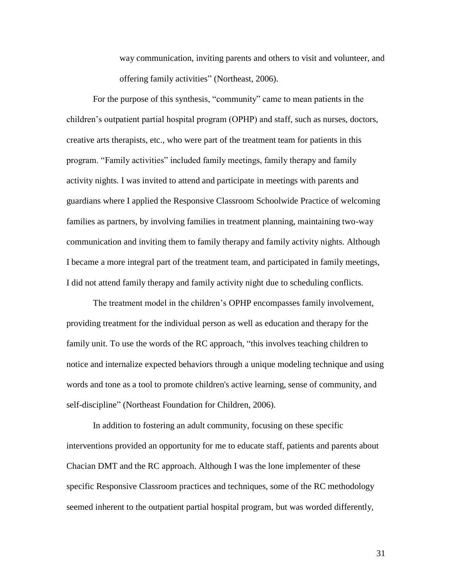way communication, inviting parents and others to visit and volunteer, and offering family activities" (Northeast, 2006).

For the purpose of this synthesis, "community" came to mean patients in the children"s outpatient partial hospital program (OPHP) and staff, such as nurses, doctors, creative arts therapists, etc., who were part of the treatment team for patients in this program. "Family activities" included family meetings, family therapy and family activity nights. I was invited to attend and participate in meetings with parents and guardians where I applied the Responsive Classroom Schoolwide Practice of welcoming families as partners, by involving families in treatment planning, maintaining two-way communication and inviting them to family therapy and family activity nights. Although I became a more integral part of the treatment team, and participated in family meetings, I did not attend family therapy and family activity night due to scheduling conflicts.

The treatment model in the children"s OPHP encompasses family involvement, providing treatment for the individual person as well as education and therapy for the family unit. To use the words of the RC approach, "this involves teaching children to notice and internalize expected behaviors through a unique modeling technique and using words and tone as a tool to promote children's active learning, sense of community, and self-discipline" (Northeast Foundation for Children, 2006).

In addition to fostering an adult community, focusing on these specific interventions provided an opportunity for me to educate staff, patients and parents about Chacian DMT and the RC approach. Although I was the lone implementer of these specific Responsive Classroom practices and techniques, some of the RC methodology seemed inherent to the outpatient partial hospital program, but was worded differently,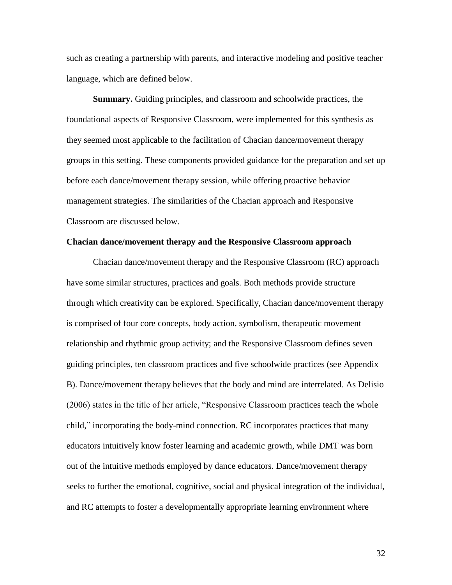such as creating a partnership with parents, and interactive modeling and positive teacher language, which are defined below.

**Summary.** Guiding principles, and classroom and schoolwide practices, the foundational aspects of Responsive Classroom, were implemented for this synthesis as they seemed most applicable to the facilitation of Chacian dance/movement therapy groups in this setting. These components provided guidance for the preparation and set up before each dance/movement therapy session, while offering proactive behavior management strategies. The similarities of the Chacian approach and Responsive Classroom are discussed below.

# **Chacian dance/movement therapy and the Responsive Classroom approach**

Chacian dance/movement therapy and the Responsive Classroom (RC) approach have some similar structures, practices and goals. Both methods provide structure through which creativity can be explored. Specifically, Chacian dance/movement therapy is comprised of four core concepts, body action, symbolism, therapeutic movement relationship and rhythmic group activity; and the Responsive Classroom defines seven guiding principles, ten classroom practices and five schoolwide practices (see Appendix B). Dance/movement therapy believes that the body and mind are interrelated. As Delisio (2006) states in the title of her article, "Responsive Classroom practices teach the whole child," incorporating the body-mind connection. RC incorporates practices that many educators intuitively know foster learning and academic growth, while DMT was born out of the intuitive methods employed by dance educators. Dance/movement therapy seeks to further the emotional, cognitive, social and physical integration of the individual, and RC attempts to foster a developmentally appropriate learning environment where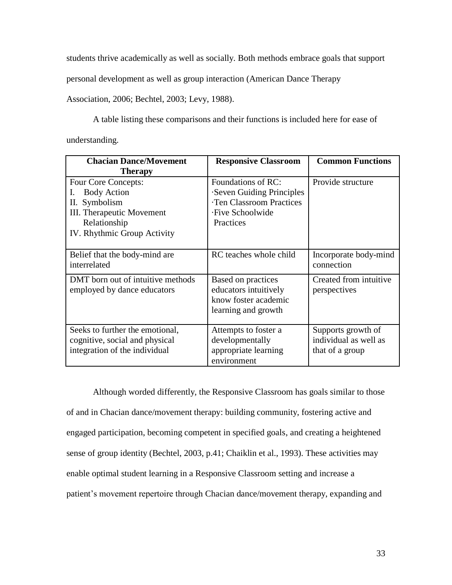students thrive academically as well as socially. Both methods embrace goals that support

personal development as well as group interaction (American Dance Therapy

Association, 2006; Bechtel, 2003; Levy, 1988).

A table listing these comparisons and their functions is included here for ease of understanding.

| <b>Chacian Dance/Movement</b><br><b>Therapy</b>                                                                                          | <b>Responsive Classroom</b>                                                                                | <b>Common Functions</b>                                        |
|------------------------------------------------------------------------------------------------------------------------------------------|------------------------------------------------------------------------------------------------------------|----------------------------------------------------------------|
| Four Core Concepts:<br><b>Body Action</b><br>Symbolism<br>П.<br>III. Therapeutic Movement<br>Relationship<br>IV. Rhythmic Group Activity | Foundations of RC:<br>Seven Guiding Principles<br>Ten Classroom Practices<br>·Five Schoolwide<br>Practices | Provide structure                                              |
| Belief that the body-mind are<br>interrelated                                                                                            | RC teaches whole child                                                                                     | Incorporate body-mind<br>connection                            |
| DMT born out of intuitive methods<br>employed by dance educators                                                                         | Based on practices<br>educators intuitively<br>know foster academic<br>learning and growth                 | Created from intuitive<br>perspectives                         |
| Seeks to further the emotional,<br>cognitive, social and physical<br>integration of the individual                                       | Attempts to foster a<br>developmentally<br>appropriate learning<br>environment                             | Supports growth of<br>individual as well as<br>that of a group |

Although worded differently, the Responsive Classroom has goals similar to those of and in Chacian dance/movement therapy: building community, fostering active and engaged participation, becoming competent in specified goals, and creating a heightened sense of group identity (Bechtel, 2003, p.41; Chaiklin et al., 1993). These activities may enable optimal student learning in a Responsive Classroom setting and increase a patient's movement repertoire through Chacian dance/movement therapy, expanding and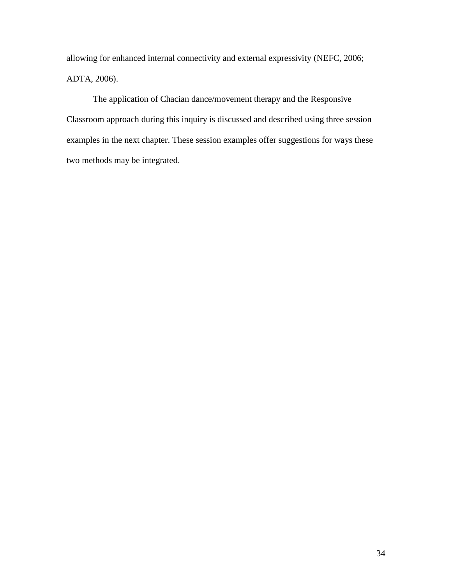allowing for enhanced internal connectivity and external expressivity (NEFC, 2006; ADTA, 2006).

The application of Chacian dance/movement therapy and the Responsive Classroom approach during this inquiry is discussed and described using three session examples in the next chapter. These session examples offer suggestions for ways these two methods may be integrated.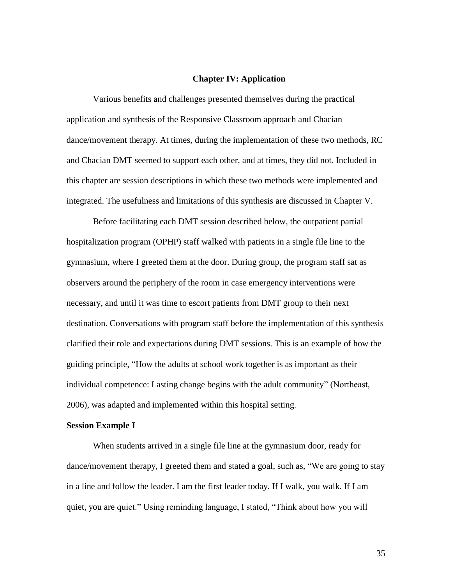# **Chapter IV: Application**

Various benefits and challenges presented themselves during the practical application and synthesis of the Responsive Classroom approach and Chacian dance/movement therapy. At times, during the implementation of these two methods, RC and Chacian DMT seemed to support each other, and at times, they did not. Included in this chapter are session descriptions in which these two methods were implemented and integrated. The usefulness and limitations of this synthesis are discussed in Chapter V.

Before facilitating each DMT session described below, the outpatient partial hospitalization program (OPHP) staff walked with patients in a single file line to the gymnasium, where I greeted them at the door. During group, the program staff sat as observers around the periphery of the room in case emergency interventions were necessary, and until it was time to escort patients from DMT group to their next destination. Conversations with program staff before the implementation of this synthesis clarified their role and expectations during DMT sessions. This is an example of how the guiding principle, "How the adults at school work together is as important as their individual competence: Lasting change begins with the adult community" (Northeast, 2006), was adapted and implemented within this hospital setting.

# **Session Example I**

When students arrived in a single file line at the gymnasium door, ready for dance/movement therapy, I greeted them and stated a goal, such as, "We are going to stay in a line and follow the leader. I am the first leader today. If I walk, you walk. If I am quiet, you are quiet." Using reminding language, I stated, "Think about how you will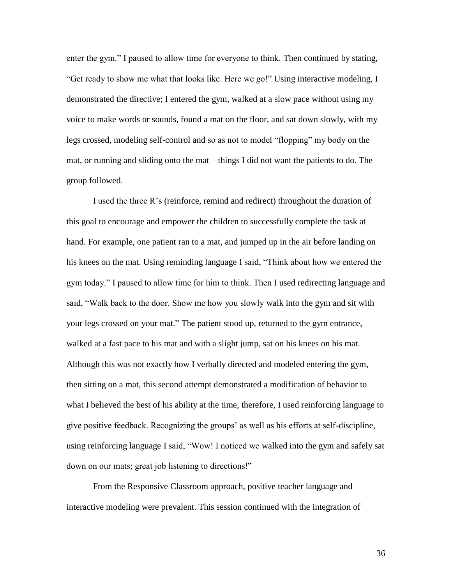enter the gym." I paused to allow time for everyone to think. Then continued by stating, "Get ready to show me what that looks like. Here we go!" Using interactive modeling, I demonstrated the directive; I entered the gym, walked at a slow pace without using my voice to make words or sounds, found a mat on the floor, and sat down slowly, with my legs crossed, modeling self-control and so as not to model "flopping" my body on the mat, or running and sliding onto the mat—things I did not want the patients to do. The group followed.

I used the three R"s (reinforce, remind and redirect) throughout the duration of this goal to encourage and empower the children to successfully complete the task at hand. For example, one patient ran to a mat, and jumped up in the air before landing on his knees on the mat. Using reminding language I said, "Think about how we entered the gym today." I paused to allow time for him to think. Then I used redirecting language and said, "Walk back to the door. Show me how you slowly walk into the gym and sit with your legs crossed on your mat." The patient stood up, returned to the gym entrance, walked at a fast pace to his mat and with a slight jump, sat on his knees on his mat. Although this was not exactly how I verbally directed and modeled entering the gym, then sitting on a mat, this second attempt demonstrated a modification of behavior to what I believed the best of his ability at the time, therefore, I used reinforcing language to give positive feedback. Recognizing the groups" as well as his efforts at self-discipline, using reinforcing language I said, "Wow! I noticed we walked into the gym and safely sat down on our mats; great job listening to directions!"

From the Responsive Classroom approach, positive teacher language and interactive modeling were prevalent. This session continued with the integration of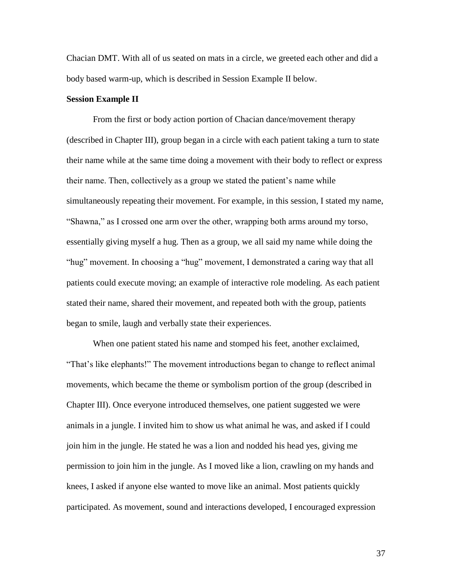Chacian DMT. With all of us seated on mats in a circle, we greeted each other and did a body based warm-up, which is described in Session Example II below.

# **Session Example II**

From the first or body action portion of Chacian dance/movement therapy (described in Chapter III), group began in a circle with each patient taking a turn to state their name while at the same time doing a movement with their body to reflect or express their name. Then, collectively as a group we stated the patient"s name while simultaneously repeating their movement. For example, in this session, I stated my name, "Shawna," as I crossed one arm over the other, wrapping both arms around my torso, essentially giving myself a hug. Then as a group, we all said my name while doing the "hug" movement. In choosing a "hug" movement, I demonstrated a caring way that all patients could execute moving; an example of interactive role modeling. As each patient stated their name, shared their movement, and repeated both with the group, patients began to smile, laugh and verbally state their experiences.

When one patient stated his name and stomped his feet, another exclaimed, "That"s like elephants!" The movement introductions began to change to reflect animal movements, which became the theme or symbolism portion of the group (described in Chapter III). Once everyone introduced themselves, one patient suggested we were animals in a jungle. I invited him to show us what animal he was, and asked if I could join him in the jungle. He stated he was a lion and nodded his head yes, giving me permission to join him in the jungle. As I moved like a lion, crawling on my hands and knees, I asked if anyone else wanted to move like an animal. Most patients quickly participated. As movement, sound and interactions developed, I encouraged expression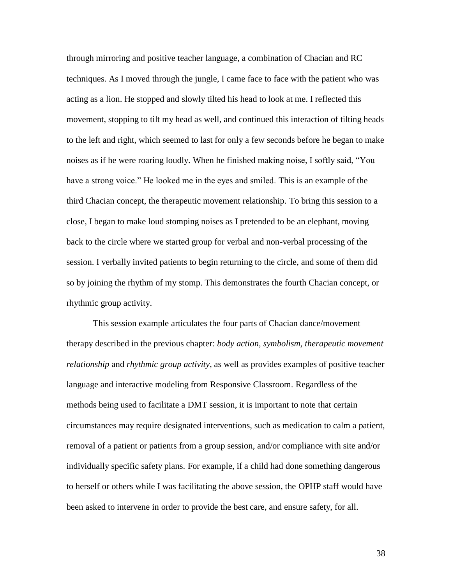through mirroring and positive teacher language, a combination of Chacian and RC techniques. As I moved through the jungle, I came face to face with the patient who was acting as a lion. He stopped and slowly tilted his head to look at me. I reflected this movement, stopping to tilt my head as well, and continued this interaction of tilting heads to the left and right, which seemed to last for only a few seconds before he began to make noises as if he were roaring loudly. When he finished making noise, I softly said, "You have a strong voice." He looked me in the eyes and smiled. This is an example of the third Chacian concept, the therapeutic movement relationship. To bring this session to a close, I began to make loud stomping noises as I pretended to be an elephant, moving back to the circle where we started group for verbal and non-verbal processing of the session. I verbally invited patients to begin returning to the circle, and some of them did so by joining the rhythm of my stomp. This demonstrates the fourth Chacian concept, or rhythmic group activity.

This session example articulates the four parts of Chacian dance/movement therapy described in the previous chapter: *body action, symbolism, therapeutic movement relationship* and *rhythmic group activity*, as well as provides examples of positive teacher language and interactive modeling from Responsive Classroom. Regardless of the methods being used to facilitate a DMT session, it is important to note that certain circumstances may require designated interventions, such as medication to calm a patient, removal of a patient or patients from a group session, and/or compliance with site and/or individually specific safety plans. For example, if a child had done something dangerous to herself or others while I was facilitating the above session, the OPHP staff would have been asked to intervene in order to provide the best care, and ensure safety, for all.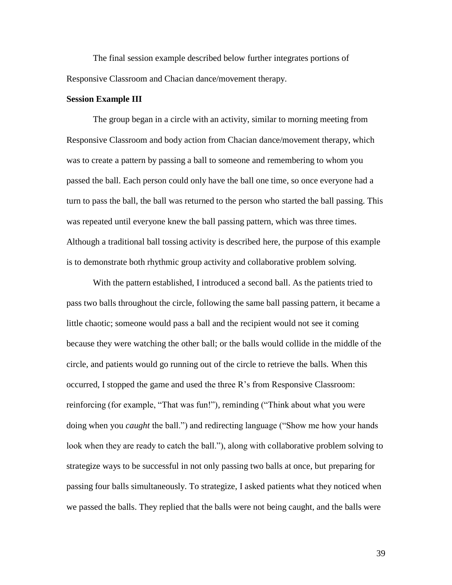The final session example described below further integrates portions of Responsive Classroom and Chacian dance/movement therapy.

# **Session Example III**

The group began in a circle with an activity, similar to morning meeting from Responsive Classroom and body action from Chacian dance/movement therapy, which was to create a pattern by passing a ball to someone and remembering to whom you passed the ball. Each person could only have the ball one time, so once everyone had a turn to pass the ball, the ball was returned to the person who started the ball passing. This was repeated until everyone knew the ball passing pattern, which was three times. Although a traditional ball tossing activity is described here, the purpose of this example is to demonstrate both rhythmic group activity and collaborative problem solving.

With the pattern established, I introduced a second ball. As the patients tried to pass two balls throughout the circle, following the same ball passing pattern, it became a little chaotic; someone would pass a ball and the recipient would not see it coming because they were watching the other ball; or the balls would collide in the middle of the circle, and patients would go running out of the circle to retrieve the balls. When this occurred, I stopped the game and used the three R"s from Responsive Classroom: reinforcing (for example, "That was fun!"), reminding ("Think about what you were doing when you *caught* the ball.") and redirecting language ("Show me how your hands look when they are ready to catch the ball."), along with collaborative problem solving to strategize ways to be successful in not only passing two balls at once, but preparing for passing four balls simultaneously. To strategize, I asked patients what they noticed when we passed the balls. They replied that the balls were not being caught, and the balls were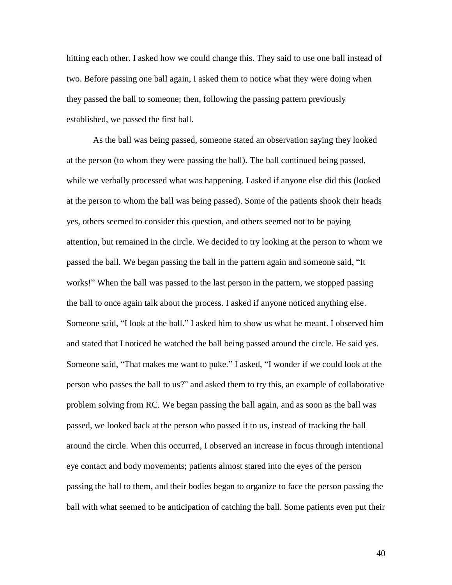hitting each other. I asked how we could change this. They said to use one ball instead of two. Before passing one ball again, I asked them to notice what they were doing when they passed the ball to someone; then, following the passing pattern previously established, we passed the first ball.

As the ball was being passed, someone stated an observation saying they looked at the person (to whom they were passing the ball). The ball continued being passed, while we verbally processed what was happening. I asked if anyone else did this (looked at the person to whom the ball was being passed). Some of the patients shook their heads yes, others seemed to consider this question, and others seemed not to be paying attention, but remained in the circle. We decided to try looking at the person to whom we passed the ball. We began passing the ball in the pattern again and someone said, "It works!" When the ball was passed to the last person in the pattern, we stopped passing the ball to once again talk about the process. I asked if anyone noticed anything else. Someone said, "I look at the ball." I asked him to show us what he meant. I observed him and stated that I noticed he watched the ball being passed around the circle. He said yes. Someone said, "That makes me want to puke." I asked, "I wonder if we could look at the person who passes the ball to us?" and asked them to try this, an example of collaborative problem solving from RC. We began passing the ball again, and as soon as the ball was passed, we looked back at the person who passed it to us, instead of tracking the ball around the circle. When this occurred, I observed an increase in focus through intentional eye contact and body movements; patients almost stared into the eyes of the person passing the ball to them, and their bodies began to organize to face the person passing the ball with what seemed to be anticipation of catching the ball. Some patients even put their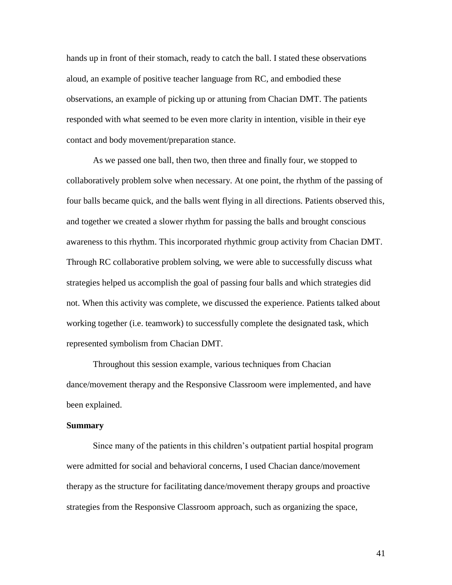hands up in front of their stomach, ready to catch the ball. I stated these observations aloud, an example of positive teacher language from RC, and embodied these observations, an example of picking up or attuning from Chacian DMT. The patients responded with what seemed to be even more clarity in intention, visible in their eye contact and body movement/preparation stance.

As we passed one ball, then two, then three and finally four, we stopped to collaboratively problem solve when necessary. At one point, the rhythm of the passing of four balls became quick, and the balls went flying in all directions. Patients observed this, and together we created a slower rhythm for passing the balls and brought conscious awareness to this rhythm. This incorporated rhythmic group activity from Chacian DMT. Through RC collaborative problem solving, we were able to successfully discuss what strategies helped us accomplish the goal of passing four balls and which strategies did not. When this activity was complete, we discussed the experience. Patients talked about working together (i.e. teamwork) to successfully complete the designated task, which represented symbolism from Chacian DMT.

Throughout this session example, various techniques from Chacian dance/movement therapy and the Responsive Classroom were implemented, and have been explained.

# **Summary**

Since many of the patients in this children"s outpatient partial hospital program were admitted for social and behavioral concerns, I used Chacian dance/movement therapy as the structure for facilitating dance/movement therapy groups and proactive strategies from the Responsive Classroom approach, such as organizing the space,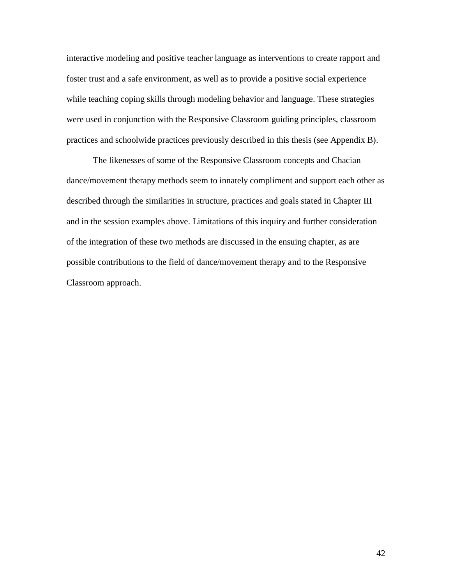interactive modeling and positive teacher language as interventions to create rapport and foster trust and a safe environment, as well as to provide a positive social experience while teaching coping skills through modeling behavior and language. These strategies were used in conjunction with the Responsive Classroom guiding principles, classroom practices and schoolwide practices previously described in this thesis (see Appendix B).

The likenesses of some of the Responsive Classroom concepts and Chacian dance/movement therapy methods seem to innately compliment and support each other as described through the similarities in structure, practices and goals stated in Chapter III and in the session examples above. Limitations of this inquiry and further consideration of the integration of these two methods are discussed in the ensuing chapter, as are possible contributions to the field of dance/movement therapy and to the Responsive Classroom approach.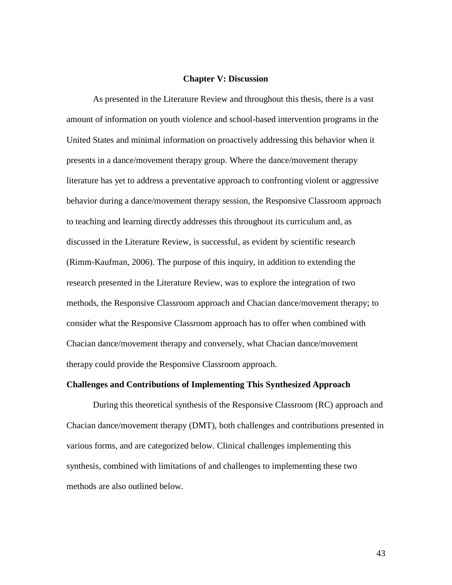# **Chapter V: Discussion**

As presented in the Literature Review and throughout this thesis, there is a vast amount of information on youth violence and school-based intervention programs in the United States and minimal information on proactively addressing this behavior when it presents in a dance/movement therapy group. Where the dance/movement therapy literature has yet to address a preventative approach to confronting violent or aggressive behavior during a dance/movement therapy session, the Responsive Classroom approach to teaching and learning directly addresses this throughout its curriculum and, as discussed in the Literature Review, is successful, as evident by scientific research (Rimm-Kaufman, 2006). The purpose of this inquiry, in addition to extending the research presented in the Literature Review, was to explore the integration of two methods, the Responsive Classroom approach and Chacian dance/movement therapy; to consider what the Responsive Classroom approach has to offer when combined with Chacian dance/movement therapy and conversely, what Chacian dance/movement therapy could provide the Responsive Classroom approach.

# **Challenges and Contributions of Implementing This Synthesized Approach**

During this theoretical synthesis of the Responsive Classroom (RC) approach and Chacian dance/movement therapy (DMT), both challenges and contributions presented in various forms, and are categorized below. Clinical challenges implementing this synthesis, combined with limitations of and challenges to implementing these two methods are also outlined below.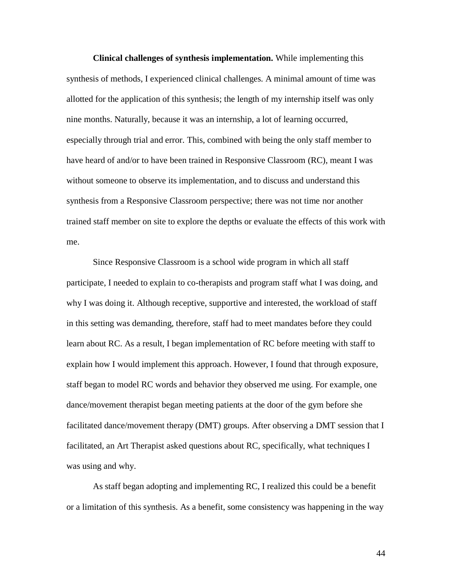**Clinical challenges of synthesis implementation.** While implementing this synthesis of methods, I experienced clinical challenges. A minimal amount of time was allotted for the application of this synthesis; the length of my internship itself was only nine months. Naturally, because it was an internship, a lot of learning occurred, especially through trial and error. This, combined with being the only staff member to have heard of and/or to have been trained in Responsive Classroom (RC), meant I was without someone to observe its implementation, and to discuss and understand this synthesis from a Responsive Classroom perspective; there was not time nor another trained staff member on site to explore the depths or evaluate the effects of this work with me.

Since Responsive Classroom is a school wide program in which all staff participate, I needed to explain to co-therapists and program staff what I was doing, and why I was doing it. Although receptive, supportive and interested, the workload of staff in this setting was demanding, therefore, staff had to meet mandates before they could learn about RC. As a result, I began implementation of RC before meeting with staff to explain how I would implement this approach. However, I found that through exposure, staff began to model RC words and behavior they observed me using. For example, one dance/movement therapist began meeting patients at the door of the gym before she facilitated dance/movement therapy (DMT) groups. After observing a DMT session that I facilitated, an Art Therapist asked questions about RC, specifically, what techniques I was using and why.

As staff began adopting and implementing RC, I realized this could be a benefit or a limitation of this synthesis. As a benefit, some consistency was happening in the way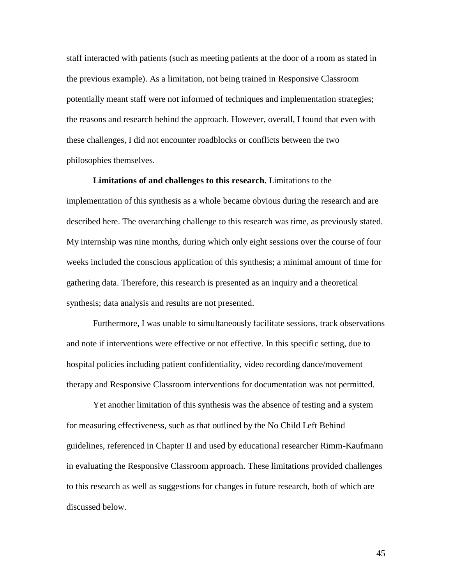staff interacted with patients (such as meeting patients at the door of a room as stated in the previous example). As a limitation, not being trained in Responsive Classroom potentially meant staff were not informed of techniques and implementation strategies; the reasons and research behind the approach. However, overall, I found that even with these challenges, I did not encounter roadblocks or conflicts between the two philosophies themselves.

**Limitations of and challenges to this research.** Limitations to the implementation of this synthesis as a whole became obvious during the research and are described here. The overarching challenge to this research was time, as previously stated. My internship was nine months, during which only eight sessions over the course of four weeks included the conscious application of this synthesis; a minimal amount of time for gathering data. Therefore, this research is presented as an inquiry and a theoretical synthesis; data analysis and results are not presented.

Furthermore, I was unable to simultaneously facilitate sessions, track observations and note if interventions were effective or not effective. In this specific setting, due to hospital policies including patient confidentiality, video recording dance/movement therapy and Responsive Classroom interventions for documentation was not permitted.

Yet another limitation of this synthesis was the absence of testing and a system for measuring effectiveness, such as that outlined by the No Child Left Behind guidelines, referenced in Chapter II and used by educational researcher Rimm-Kaufmann in evaluating the Responsive Classroom approach. These limitations provided challenges to this research as well as suggestions for changes in future research, both of which are discussed below.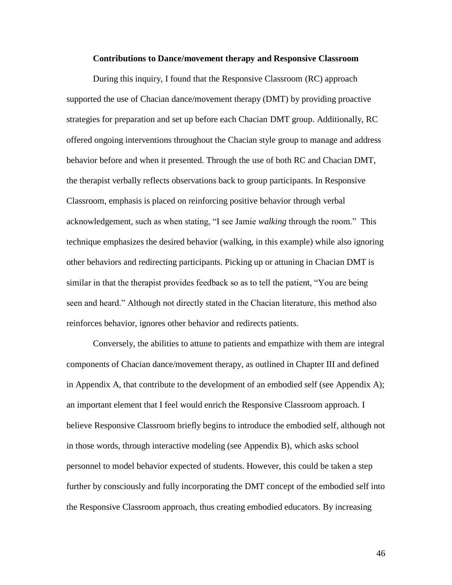#### **Contributions to Dance/movement therapy and Responsive Classroom**

During this inquiry, I found that the Responsive Classroom (RC) approach supported the use of Chacian dance/movement therapy (DMT) by providing proactive strategies for preparation and set up before each Chacian DMT group. Additionally, RC offered ongoing interventions throughout the Chacian style group to manage and address behavior before and when it presented. Through the use of both RC and Chacian DMT, the therapist verbally reflects observations back to group participants. In Responsive Classroom, emphasis is placed on reinforcing positive behavior through verbal acknowledgement, such as when stating, "I see Jamie *walking* through the room." This technique emphasizes the desired behavior (walking, in this example) while also ignoring other behaviors and redirecting participants. Picking up or attuning in Chacian DMT is similar in that the therapist provides feedback so as to tell the patient, "You are being seen and heard." Although not directly stated in the Chacian literature, this method also reinforces behavior, ignores other behavior and redirects patients.

Conversely, the abilities to attune to patients and empathize with them are integral components of Chacian dance/movement therapy, as outlined in Chapter III and defined in Appendix A, that contribute to the development of an embodied self (see Appendix A); an important element that I feel would enrich the Responsive Classroom approach. I believe Responsive Classroom briefly begins to introduce the embodied self, although not in those words, through interactive modeling (see Appendix B), which asks school personnel to model behavior expected of students. However, this could be taken a step further by consciously and fully incorporating the DMT concept of the embodied self into the Responsive Classroom approach, thus creating embodied educators. By increasing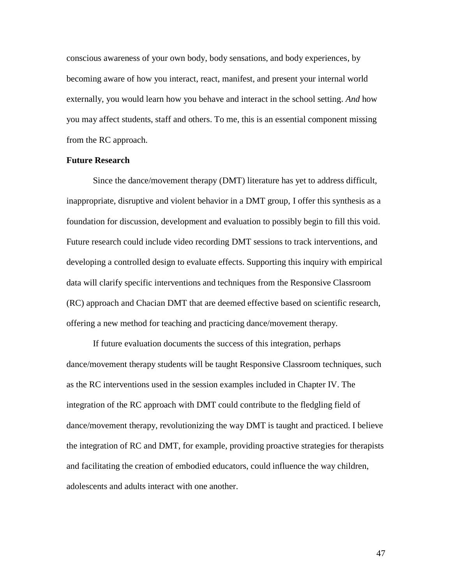conscious awareness of your own body, body sensations, and body experiences, by becoming aware of how you interact, react, manifest, and present your internal world externally, you would learn how you behave and interact in the school setting. *And* how you may affect students, staff and others. To me, this is an essential component missing from the RC approach.

# **Future Research**

Since the dance/movement therapy (DMT) literature has yet to address difficult, inappropriate, disruptive and violent behavior in a DMT group, I offer this synthesis as a foundation for discussion, development and evaluation to possibly begin to fill this void. Future research could include video recording DMT sessions to track interventions, and developing a controlled design to evaluate effects. Supporting this inquiry with empirical data will clarify specific interventions and techniques from the Responsive Classroom (RC) approach and Chacian DMT that are deemed effective based on scientific research, offering a new method for teaching and practicing dance/movement therapy.

If future evaluation documents the success of this integration, perhaps dance/movement therapy students will be taught Responsive Classroom techniques, such as the RC interventions used in the session examples included in Chapter IV. The integration of the RC approach with DMT could contribute to the fledgling field of dance/movement therapy, revolutionizing the way DMT is taught and practiced. I believe the integration of RC and DMT, for example, providing proactive strategies for therapists and facilitating the creation of embodied educators, could influence the way children, adolescents and adults interact with one another.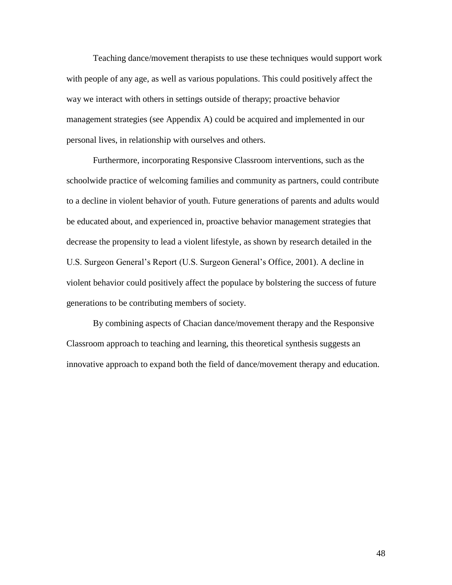Teaching dance/movement therapists to use these techniques would support work with people of any age, as well as various populations. This could positively affect the way we interact with others in settings outside of therapy; proactive behavior management strategies (see Appendix A) could be acquired and implemented in our personal lives, in relationship with ourselves and others.

Furthermore, incorporating Responsive Classroom interventions, such as the schoolwide practice of welcoming families and community as partners, could contribute to a decline in violent behavior of youth. Future generations of parents and adults would be educated about, and experienced in, proactive behavior management strategies that decrease the propensity to lead a violent lifestyle, as shown by research detailed in the U.S. Surgeon General"s Report (U.S. Surgeon General"s Office, 2001). A decline in violent behavior could positively affect the populace by bolstering the success of future generations to be contributing members of society.

By combining aspects of Chacian dance/movement therapy and the Responsive Classroom approach to teaching and learning, this theoretical synthesis suggests an innovative approach to expand both the field of dance/movement therapy and education.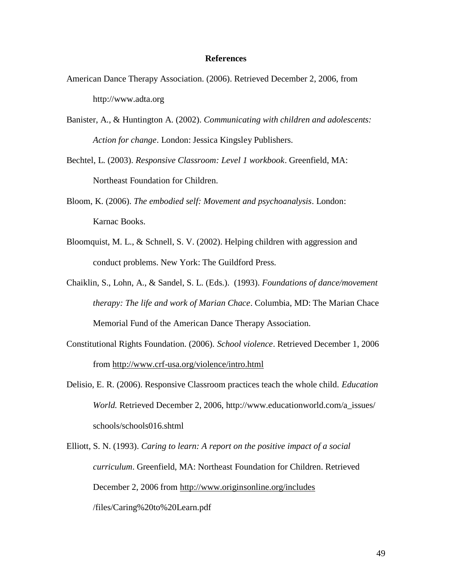# **References**

- American Dance Therapy Association. (2006). Retrieved December 2, 2006, from http://www.adta.org
- Banister, A., & Huntington A. (2002). *Communicating with children and adolescents: Action for change*. London: Jessica Kingsley Publishers.
- Bechtel, L. (2003). *Responsive Classroom: Level 1 workbook*. Greenfield, MA: Northeast Foundation for Children.
- Bloom, K. (2006). *The embodied self: Movement and psychoanalysis*. London: Karnac Books.
- Bloomquist, M. L., & Schnell, S. V. (2002). Helping children with aggression and conduct problems. New York: The Guildford Press.
- Chaiklin, S., Lohn, A., & Sandel, S. L. (Eds.). (1993). *Foundations of dance/movement therapy: The life and work of Marian Chace*. Columbia, MD: The Marian Chace Memorial Fund of the American Dance Therapy Association.
- Constitutional Rights Foundation. (2006). *School violence*. Retrieved December 1, 2006 from<http://www.crf-usa.org/violence/intro.html>
- Delisio, E. R. (2006). Responsive Classroom practices teach the whole child. *Education World.* Retrieved December 2, 2006, [http://www.educationworld.com/a\\_issues/](http://www.educationworld.com/a_issues/schools/)  [schools/s](http://www.educationworld.com/a_issues/schools/)chools016.shtml

Elliott, S. N. (1993). *Caring to learn: A report on the positive impact of a social curriculum*. Greenfield, MA: Northeast Foundation for Children. Retrieved December 2, 2006 from<http://www.originsonline.org/includes> /files/Caring%20to%20Learn.pdf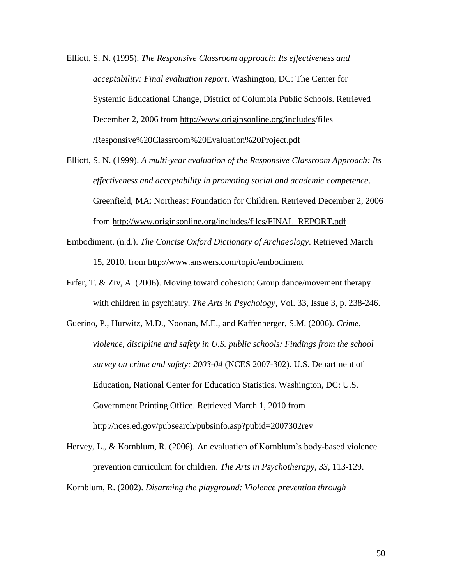- Elliott, S. N. (1995). *The Responsive Classroom approach: Its effectiveness and acceptability: Final evaluation report*. Washington, DC: The Center for Systemic Educational Change, District of Columbia Public Schools. Retrieved December 2, 2006 from [http://www.originsonline.org/includes/](http://www.originsonline.org/includes)files /Responsive%20Classroom%20Evaluation%20Project.pdf
- Elliott, S. N. (1999). *A multi-year evaluation of the Responsive Classroom Approach: Its effectiveness and acceptability in promoting social and academic competence*. Greenfield, MA: Northeast Foundation for Children. Retrieved December 2, 2006 from [http://www.originsonline.org/includes/files/FINAL\\_REPORT.pdf](http://www.originsonline.org/includes/files/FINAL_REPORT.pdf)
- Embodiment. (n.d.). *The Concise Oxford Dictionary of Archaeology*. Retrieved March 15, 2010, from <http://www.answers.com/topic/embodiment>
- Erfer, T. & Ziv, A. (2006). Moving toward cohesion: Group dance/movement therapy with children in psychiatry. *The Arts in Psychology*, Vol. 33, Issue 3, p. 238-246.
- Guerino, P., Hurwitz, M.D., Noonan, M.E., and Kaffenberger, S.M. (2006). *Crime, violence, discipline and safety in U.S. public schools: Findings from the school survey on crime and safety: 2003-04* (NCES 2007-302). U.S. Department of Education, National Center for Education Statistics. Washington, DC: U.S. Government Printing Office. Retrieved March 1, 2010 from http://nces.ed.gov/pubsearch/pubsinfo.asp?pubid=2007302rev
- Hervey, L., & Kornblum, R. (2006). An evaluation of Kornblum"s body-based violence prevention curriculum for children. *The Arts in Psychotherapy, 33*, 113-129.

Kornblum, R. (2002). *Disarming the playground: Violence prevention through*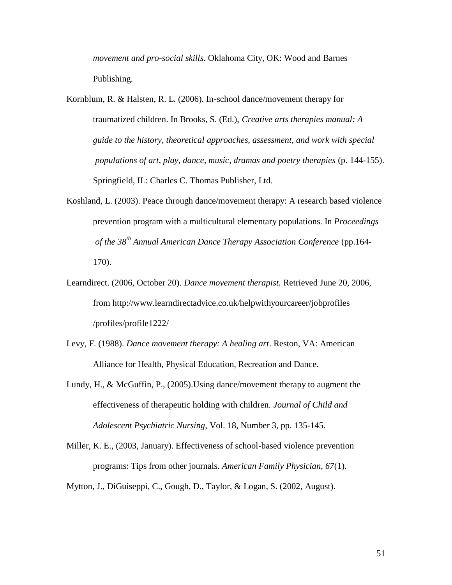*movement and pro-social skills*. Oklahoma City, OK: Wood and Barnes Publishing.

- Kornblum, R. & Halsten, R. L. (2006). In-school dance/movement therapy for traumatized children. In Brooks, S. (Ed.), *Creative arts therapies manual: A guide to the history, theoretical approaches, assessment, and work with special populations of art, play, dance, music, dramas and poetry therapies* (p. 144-155). Springfield, IL: Charles C. Thomas Publisher, Ltd.
- Koshland, L. (2003). Peace through dance/movement therapy: A research based violence prevention program with a multicultural elementary populations. In *Proceedings of the 38th Annual American Dance Therapy Association Conference* (pp.164- 170).
- Learndirect. (2006, October 20). *Dance movement therapist.* Retrieved June 20, 2006, from http://www.learndirectadvice.co.uk/helpwithyourcareer/jobprofiles /profiles/profile1222/
- Levy, F. (1988). *Dance movement therapy: A healing art*. Reston, VA: American Alliance for Health, Physical Education, Recreation and Dance.
- Lundy, H., & McGuffin, P., (2005).Using dance/movement therapy to augment the effectiveness of therapeutic holding with children. *Journal of Child and Adolescent Psychiatric Nursing*, Vol. 18, Number 3, pp. 135-145.
- Miller, K. E., (2003, January). Effectiveness of school-based violence prevention programs: Tips from other journals. *American Family Physician, 67*(1).

Mytton, J., DiGuiseppi, C., Gough, D., Taylor, & Logan, S. (2002, August).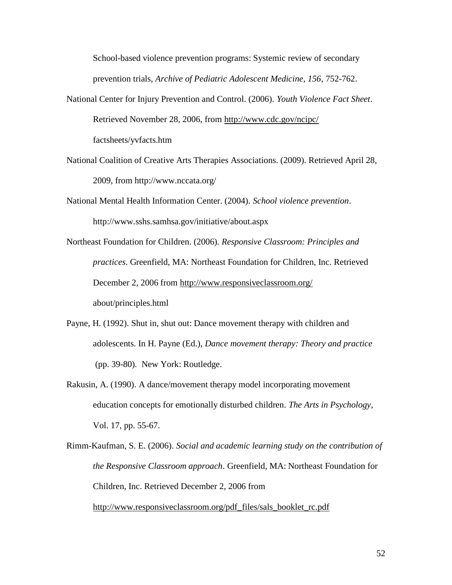School-based violence prevention programs: Systemic review of secondary prevention trials, *Archive of Pediatric Adolescent Medicine, 156*, 752-762.

- National Center for Injury Prevention and Control. (2006). *Youth Violence Fact Sheet*. Retrieved November 28, 2006, from<http://www.cdc.gov/ncipc/> factsheets/yvfacts.htm
- National Coalition of Creative Arts Therapies Associations. (2009). Retrieved April 28, 2009, from http://www.nccata.org/
- National Mental Health Information Center. (2004). *School violence prevention*. http://www.sshs.samhsa.gov/initiative/about.aspx
- Northeast Foundation for Children. (2006). *Responsive Classroom: Principles and practices*. Greenfield, MA: Northeast Foundation for Children, Inc. Retrieved December 2, 2006 from<http://www.responsiveclassroom.org/> about/principles.html
- Payne, H. (1992). Shut in, shut out: Dance movement therapy with children and adolescents. In H. Payne (Ed.), *Dance movement therapy: Theory and practice* (pp. 39-80)*.* New York: Routledge.
- Rakusin, A. (1990). A dance/movement therapy model incorporating movement education concepts for emotionally disturbed children. *The Arts in Psychology*, Vol. 17, pp. 55-67.
- Rimm-Kaufman, S. E. (2006). *Social and academic learning study on the contribution of the Responsive Classroom approach*. Greenfield, MA: Northeast Foundation for Children, Inc. Retrieved December 2, 2006 from [http://www.responsiveclassroom.org/pdf\\_files/sals\\_booklet\\_rc.pdf](http://www.responsiveclassroom.org/pdf_files/sals_booklet_rc.pdf)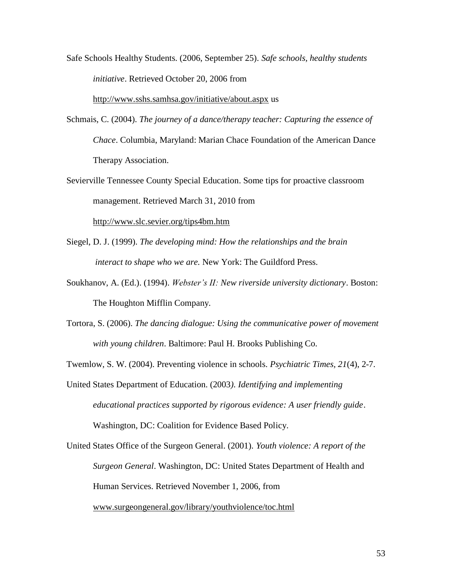Safe Schools Healthy Students. (2006, September 25). *Safe schools, healthy students initiative*. Retrieved October 20, 2006 from

<http://www.sshs.samhsa.gov/initiative/about.aspx> us

- Schmais, C. (2004). *The journey of a dance/therapy teacher: Capturing the essence of Chace*. Columbia, Maryland: Marian Chace Foundation of the American Dance Therapy Association.
- Sevierville Tennessee County Special Education. Some tips for proactive classroom management. Retrieved March 31, 2010 from

<http://www.slc.sevier.org/tips4bm.htm>

- Siegel, D. J. (1999). *The developing mind: How the relationships and the brain interact to shape who we are.* New York: The Guildford Press.
- Soukhanov, A. (Ed.). (1994). *Webster's II: New riverside university dictionary*. Boston: The Houghton Mifflin Company.
- Tortora, S. (2006). *The dancing dialogue: Using the communicative power of movement with young children*. Baltimore: Paul H. Brooks Publishing Co.

Twemlow, S. W. (2004). Preventing violence in schools. *Psychiatric Times, 21*(4), 2-7.

United States Department of Education. (2003*). Identifying and implementing educational practices supported by rigorous evidence: A user friendly guide*. Washington, DC: Coalition for Evidence Based Policy.

United States Office of the Surgeon General. (2001). *Youth violence: A report of the Surgeon General*. Washington, DC: United States Department of Health and Human Services. Retrieved November 1, 2006, from [www.surgeongeneral.gov/library/youthviolence/toc.html](http://www.surgeongeneral.gov/library/youthviolence/toc.html)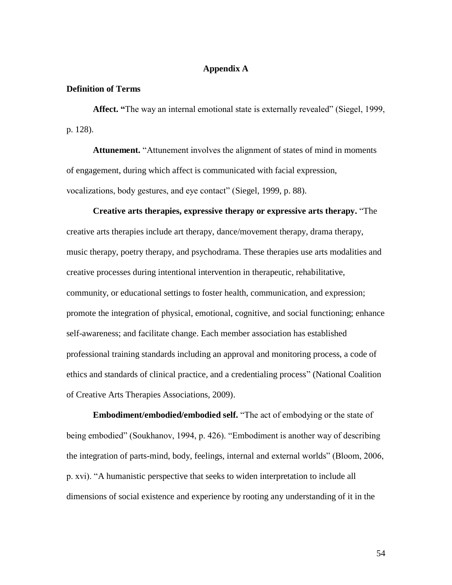# **Appendix A**

# **Definition of Terms**

**Affect. "**The way an internal emotional state is externally revealed" (Siegel, 1999, p. 128).

**Attunement.** "Attunement involves the alignment of states of mind in moments of engagement, during which affect is communicated with facial expression, vocalizations, body gestures, and eye contact" (Siegel, 1999, p. 88).

**Creative arts therapies, expressive therapy or expressive arts therapy.** "The creative arts therapies include [art therapy,](http://www.nccata.org/art_therapy.htm) [dance/movement therapy,](http://www.nccata.org/dance_therapy.htm) [drama therapy,](http://www.nccata.org/drama_therapy.htm) [music therapy,](http://www.nccata.org/music_therapy.htm) [poetry therapy,](http://www.nccata.org/poetry_therapy.htm) and [psychodrama.](http://www.nccata.org/psychodrama.htm) These therapies use arts modalities and creative processes during intentional intervention in therapeutic, rehabilitative, community, or educational settings to foster health, communication, and expression; promote the integration of physical, emotional, cognitive, and social functioning; enhance self-awareness; and facilitate change. Each member association has established professional training standards including an approval and monitoring process, a code of ethics and standards of clinical practice, and a credentialing process" (National Coalition of Creative Arts Therapies Associations, 2009).

**Embodiment/embodied/embodied self.** "The act of embodying or the state of being embodied" (Soukhanov, 1994, p. 426). "Embodiment is another way of describing the integration of parts-mind, body, feelings, internal and external worlds" (Bloom, 2006, p. xvi). "A humanistic perspective that seeks to widen interpretation to include all dimensions of social existence and experience by rooting any understanding of it in the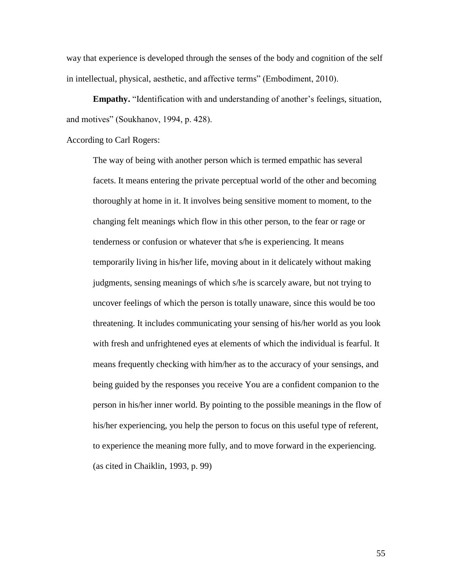way that experience is developed through the senses of the body and [cognition](http://www.answers.com/topic/cognition) of the self in intellectual, physical, aesthetic, and affective terms" (Embodiment, 2010).

**Empathy.** "Identification with and understanding of another's feelings, situation, and motives" (Soukhanov, 1994, p. 428).

According to Carl Rogers:

The way of being with another person which is termed empathic has several facets. It means entering the private perceptual world of the other and becoming thoroughly at home in it. It involves being sensitive moment to moment, to the changing felt meanings which flow in this other person, to the fear or rage or tenderness or confusion or whatever that s/he is experiencing. It means temporarily living in his/her life, moving about in it delicately without making judgments, sensing meanings of which s/he is scarcely aware, but not trying to uncover feelings of which the person is totally unaware, since this would be too threatening. It includes communicating your sensing of his/her world as you look with fresh and unfrightened eyes at elements of which the individual is fearful. It means frequently checking with him/her as to the accuracy of your sensings, and being guided by the responses you receive You are a confident companion to the person in his/her inner world. By pointing to the possible meanings in the flow of his/her experiencing, you help the person to focus on this useful type of referent, to experience the meaning more fully, and to move forward in the experiencing. (as cited in Chaiklin, 1993, p. 99)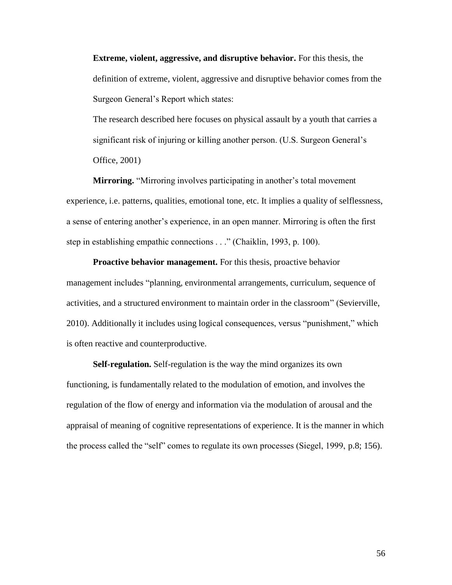**Extreme, violent, aggressive, and disruptive behavior.** For this thesis, the definition of extreme, violent, aggressive and disruptive behavior comes from the Surgeon General"s Report which states:

The research described here focuses on physical assault by a youth that carries a significant risk of injuring or killing another person. (U.S. Surgeon General's Office, 2001)

**Mirroring.** "Mirroring involves participating in another's total movement experience, i.e. patterns, qualities, emotional tone, etc. It implies a quality of selflessness, a sense of entering another"s experience, in an open manner. Mirroring is often the first step in establishing empathic connections . . ." (Chaiklin, 1993, p. 100).

**Proactive behavior management.** For this thesis, proactive behavior management includes "planning, environmental arrangements, curriculum, sequence of activities, and a structured environment to maintain order in the classroom" (Sevierville, 2010). Additionally it includes using logical consequences, versus "punishment," which is often reactive and counterproductive.

**Self-regulation.** Self-regulation is the way the mind organizes its own functioning, is fundamentally related to the modulation of emotion, and involves the regulation of the flow of energy and information via the modulation of arousal and the appraisal of meaning of cognitive representations of experience. It is the manner in which the process called the "self" comes to regulate its own processes (Siegel, 1999, p.8; 156).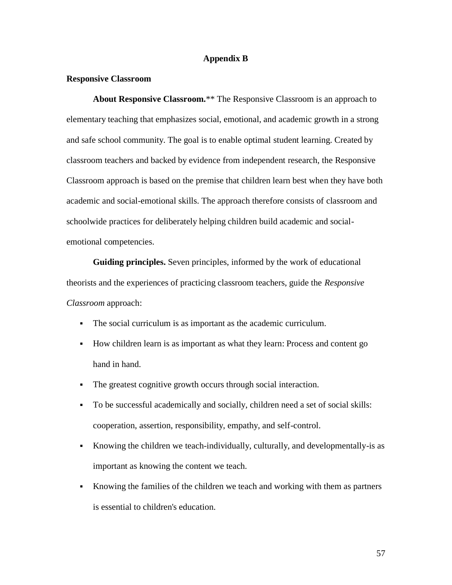# **Appendix B**

# **Responsive Classroom**

**About Responsive Classroom.**\*\* The Responsive Classroom is an approach to elementary teaching that emphasizes social, emotional, and academic growth in a strong and safe school community. The goal is to enable optimal student learning. Created by classroom teachers and backed by evidence from independent [research,](http://www.responsiveclassroom.org/about/research.html) the Responsive Classroom approach is based on the premise that children learn best when they have both academic and social-emotional skills. The approach therefore consists of [classroom](http://www.responsiveclassroom.org/about/aboutrc.html#Classroom Practices#Classroom Practices) and [schoolwide practices](http://www.responsiveclassroom.org/about/aboutrc.html#Schoolwide Practices#Schoolwide Practices) for deliberately helping children build academic and socialemotional competencies.

**Guiding principles.** Seven principles, informed by the work of educational theorists and the experiences of practicing classroom teachers, guide the *Responsive Classroom* approach:

- The social curriculum is as important as the academic curriculum.
- How children learn is as important as what they learn: Process and content go hand in hand.
- The greatest cognitive growth occurs through social interaction.
- To be successful academically and socially, children need a set of social skills: cooperation, assertion, responsibility, empathy, and self-control.
- Knowing the children we teach-individually, culturally, and developmentally-is as important as knowing the content we teach.
- Knowing the families of the children we teach and working with them as partners is essential to children's education.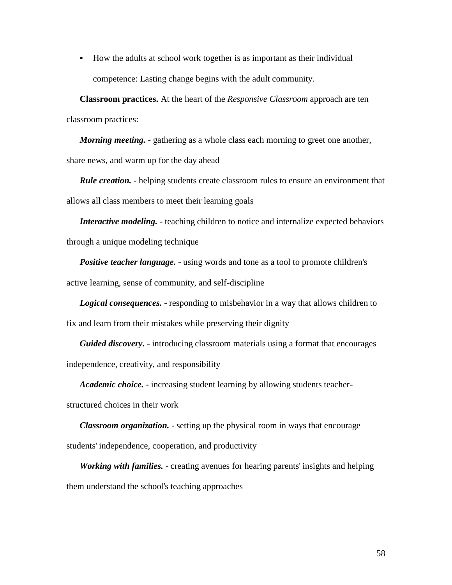How the adults at school work together is as important as their individual competence: Lasting change begins with the adult community.

**Classroom practices.** At the heart of the *Responsive Classroom* approach are ten classroom practices:

*Morning meeting.* - gathering as a whole class each morning to greet one another, share news, and warm up for the day ahead

*Rule creation.* - helping students create classroom rules to ensure an environment that allows all class members to meet their learning goals

*Interactive modeling.* - teaching children to notice and internalize expected behaviors through a unique modeling technique

*Positive teacher language.* - using words and tone as a tool to promote children's active learning, sense of community, and self-discipline

*Logical consequences.* - responding to misbehavior in a way that allows children to fix and learn from their mistakes while preserving their dignity

*Guided discovery.* - introducing classroom materials using a format that encourages independence, creativity, and responsibility

*Academic choice.* - increasing student learning by allowing students teacher-

structured choices in their work

*Classroom organization.* - setting up the physical room in ways that encourage students' independence, cooperation, and productivity

*Working with families.* - creating avenues for hearing parents' insights and helping them understand the school's teaching approaches